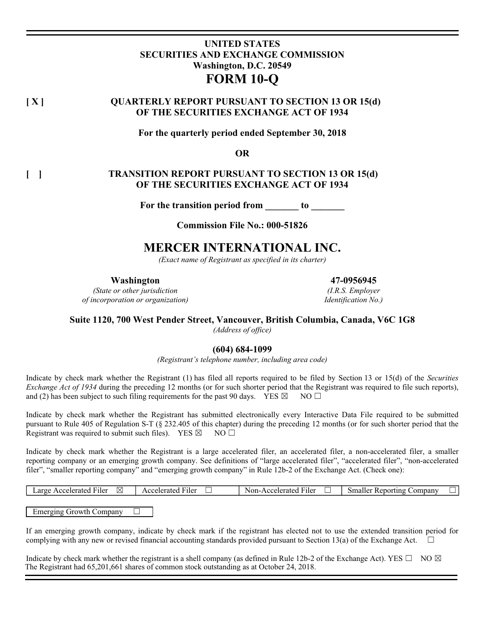# **UNITED STATES SECURITIES AND EXCHANGE COMMISSION Washington, D.C. 20549 FORM 10-Q**

# **[ X ] QUARTERLY REPORT PURSUANT TO SECTION 13 OR 15(d) OF THE SECURITIES EXCHANGE ACT OF 1934**

**For the quarterly period ended September 30, 2018** 

**OR** 

## **[ ] TRANSITION REPORT PURSUANT TO SECTION 13 OR 15(d) OF THE SECURITIES EXCHANGE ACT OF 1934**

For the transition period from \_\_\_\_\_\_\_ to \_\_\_\_\_\_\_

**Commission File No.: 000-51826** 

# **MERCER INTERNATIONAL INC.**

*(Exact name of Registrant as specified in its charter)* 

**Washington 47-0956945**

*(State or other jurisdiction of incorporation or organization)*

*(I.R.S. Employer Identification No.)*

## **Suite 1120, 700 West Pender Street, Vancouver, British Columbia, Canada, V6C 1G8**

*(Address of office)* 

## **(604) 684-1099**

*(Registrant's telephone number, including area code)* 

Indicate by check mark whether the Registrant (1) has filed all reports required to be filed by Section 13 or 15(d) of the *Securities Exchange Act of 1934* during the preceding 12 months (or for such shorter period that the Registrant was required to file such reports), and (2) has been subject to such filing requirements for the past 90 days. YES  $\boxtimes$  NO  $\Box$ 

Indicate by check mark whether the Registrant has submitted electronically every Interactive Data File required to be submitted pursuant to Rule 405 of Regulation S-T (§ 232.405 of this chapter) during the preceding 12 months (or for such shorter period that the Registrant was required to submit such files). YES  $\boxtimes$  NO  $\Box$ 

Indicate by check mark whether the Registrant is a large accelerated filer, an accelerated filer, a non-accelerated filer, a smaller reporting company or an emerging growth company. See definitions of "large accelerated filer", "accelerated filer", "non-accelerated filer", "smaller reporting company" and "emerging growth company" in Rule 12b-2 of the Exchange Act. (Check one):

|  | $\sim$<br>M<br>∟arge<br>Accelerated<br>∴ iler | elerated<br>F <sub>1ler</sub><br>$\sim$<br>$\cdots$<br>__ | $\sim$<br>-Acceler?<br>Non-.<br>rated<br>1ler• | . omnant<br>: Renorting<br>Sma<br>не |
|--|-----------------------------------------------|-----------------------------------------------------------|------------------------------------------------|--------------------------------------|
|--|-----------------------------------------------|-----------------------------------------------------------|------------------------------------------------|--------------------------------------|

Emerging Growth Company  $\Box$ 

If an emerging growth company, indicate by check mark if the registrant has elected not to use the extended transition period for complying with any new or revised financial accounting standards provided pursuant to Section 13(a) of the Exchange Act.  $\Box$ 

Indicate by check mark whether the registrant is a shell company (as defined in Rule 12b-2 of the Exchange Act). YES  $\square$  NO  $\boxtimes$ The Registrant had 65,201,661 shares of common stock outstanding as at October 24, 2018.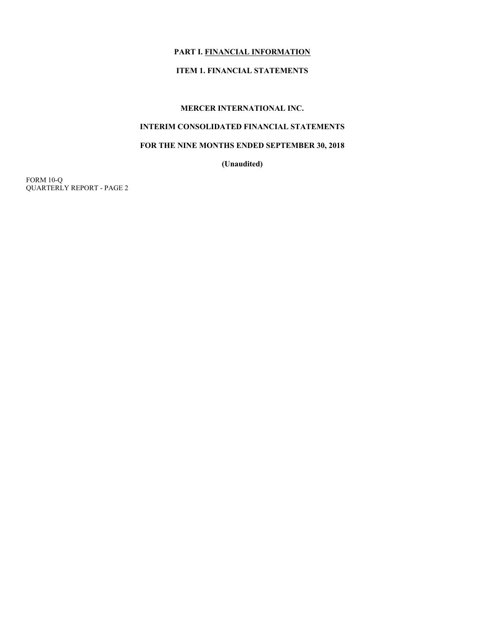## **PART I. FINANCIAL INFORMATION**

# **ITEM 1. FINANCIAL STATEMENTS**

## **MERCER INTERNATIONAL INC.**

# **INTERIM CONSOLIDATED FINANCIAL STATEMENTS**

## **FOR THE NINE MONTHS ENDED SEPTEMBER 30, 2018**

**(Unaudited)**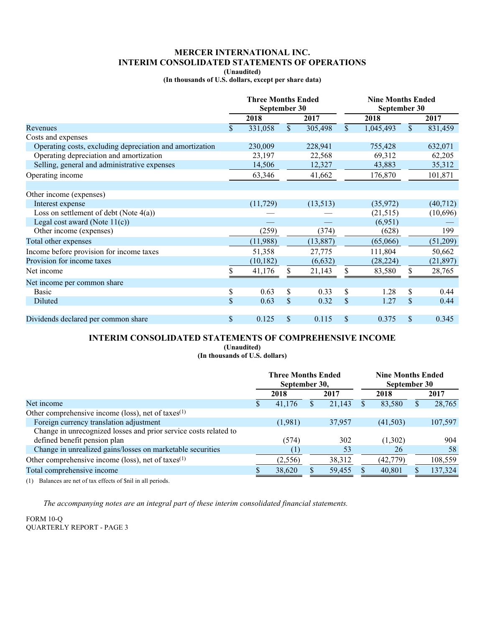## **MERCER INTERNATIONAL INC. INTERIM CONSOLIDATED STATEMENTS OF OPERATIONS**

**(Unaudited)** 

**(In thousands of U.S. dollars, except per share data)** 

|                                                          |    | <b>Three Months Ended</b><br>September 30 |              |           | <b>Nine Months Ended</b><br>September 30 |           |                           |           |
|----------------------------------------------------------|----|-------------------------------------------|--------------|-----------|------------------------------------------|-----------|---------------------------|-----------|
|                                                          |    | 2018                                      |              | 2017      |                                          | 2018      |                           | 2017      |
| Revenues                                                 | \$ | 331,058                                   | $\mathbb{S}$ | 305,498   | $\mathbb{S}$                             | 1,045,493 | $\mathbb{S}$              | 831,459   |
| Costs and expenses                                       |    |                                           |              |           |                                          |           |                           |           |
| Operating costs, excluding depreciation and amortization |    | 230,009                                   |              | 228,941   |                                          | 755,428   |                           | 632,071   |
| Operating depreciation and amortization                  |    | 23,197                                    |              | 22,568    |                                          | 69,312    |                           | 62,205    |
| Selling, general and administrative expenses             |    | 14,506                                    |              | 12,327    |                                          | 43,883    |                           | 35,312    |
| Operating income                                         |    | 63,346                                    |              | 41,662    |                                          | 176,870   |                           | 101,871   |
|                                                          |    |                                           |              |           |                                          |           |                           |           |
| Other income (expenses)                                  |    |                                           |              |           |                                          |           |                           |           |
| Interest expense                                         |    | (11, 729)                                 |              | (13,513)  |                                          | (35,972)  |                           | (40, 712) |
| Loss on settlement of debt (Note $4(a)$ )                |    |                                           |              |           |                                          | (21, 515) |                           | (10,696)  |
| Legal cost award (Note $11(c)$ )                         |    |                                           |              |           |                                          | (6,951)   |                           |           |
| Other income (expenses)                                  |    | (259)                                     |              | (374)     |                                          | (628)     |                           | 199       |
| Total other expenses                                     |    | (11,988)                                  |              | (13, 887) |                                          | (65,066)  |                           | (51,209)  |
| Income before provision for income taxes                 |    | 51,358                                    |              | 27,775    |                                          | 111,804   |                           | 50,662    |
| Provision for income taxes                               |    | (10, 182)                                 |              | (6,632)   |                                          | (28, 224) |                           | (21, 897) |
| Net income                                               | S  | 41,176                                    | \$           | 21,143    | \$                                       | 83,580    | \$                        | 28,765    |
| Net income per common share                              |    |                                           |              |           |                                          |           |                           |           |
| <b>Basic</b>                                             | \$ | 0.63                                      | S            | 0.33      | \$                                       | 1.28      | <sup>\$</sup>             | 0.44      |
| Diluted                                                  | \$ | 0.63                                      | $\mathbb{S}$ | 0.32      | $\boldsymbol{\mathsf{S}}$                | 1.27      | $\boldsymbol{\mathsf{S}}$ | 0.44      |
| Dividends declared per common share                      | \$ | 0.125                                     | \$           | 0.115     | <sup>\$</sup>                            | 0.375     | \$                        | 0.345     |

# **INTERIM CONSOLIDATED STATEMENTS OF COMPREHENSIVE INCOME**

**(Unaudited)** 

**(In thousands of U.S. dollars)** 

|                                                                  | <b>Three Months Ended</b><br>September 30, |         |    |        |  | <b>Nine Months Ended</b><br>September 30 |    |         |  |
|------------------------------------------------------------------|--------------------------------------------|---------|----|--------|--|------------------------------------------|----|---------|--|
|                                                                  |                                            | 2018    |    | 2017   |  | 2018                                     |    | 2017    |  |
| Net income                                                       |                                            | 41.176  | ה. | 21,143 |  | 83,580                                   | .ъ | 28,765  |  |
| Other comprehensive income (loss), net of taxes $(1)$            |                                            |         |    |        |  |                                          |    |         |  |
| Foreign currency translation adjustment                          |                                            | (1,981) |    | 37,957 |  | (41,503)                                 |    | 107,597 |  |
| Change in unrecognized losses and prior service costs related to |                                            |         |    |        |  |                                          |    |         |  |
| defined benefit pension plan                                     |                                            | (574)   |    | 302    |  | (1,302)                                  |    | 904     |  |
| Change in unrealized gains/losses on marketable securities       |                                            |         |    | 53     |  | 26                                       |    | 58      |  |
| Other comprehensive income (loss), net of taxes $(1)$            |                                            | (2,556) |    | 38,312 |  | (42, 779)                                |    | 108,559 |  |
| Total comprehensive income                                       |                                            | 38,620  |    | 59,455 |  | 40,801                                   |    | 137,324 |  |

(1) Balances are net of tax effects of \$nil in all periods.

*The accompanying notes are an integral part of these interim consolidated financial statements.*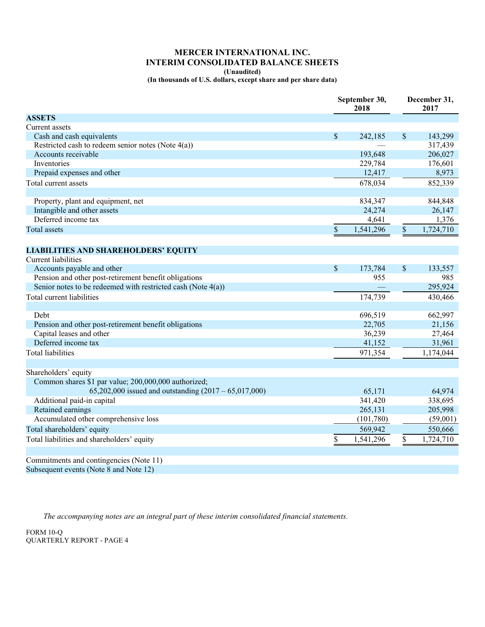## **MERCER INTERNATIONAL INC. INTERIM CONSOLIDATED BALANCE SHEETS**

**(Unaudited)** 

**(In thousands of U.S. dollars, except share and per share data)** 

| September 30,<br>2018                                        | December 31,<br>2017                   |
|--------------------------------------------------------------|----------------------------------------|
| <b>ASSETS</b>                                                |                                        |
| Current assets                                               |                                        |
| Cash and cash equivalents<br>$\boldsymbol{\mathsf{S}}$       | $\mathbb S$<br>242,185<br>143,299      |
| Restricted cash to redeem senior notes (Note $4(a)$ )        | 317,439                                |
| Accounts receivable                                          | 193,648<br>206,027                     |
| Inventories                                                  | 229,784<br>176,601                     |
| Prepaid expenses and other                                   | 12,417<br>8,973                        |
| Total current assets                                         | 678,034<br>852,339                     |
|                                                              |                                        |
| Property, plant and equipment, net                           | 834,347<br>844,848                     |
| Intangible and other assets                                  | 24,274<br>26,147                       |
| Deferred income tax                                          | 1,376<br>4,641                         |
| $\$$<br><b>Total</b> assets                                  | 1,541,296<br>$\mathbb{S}$<br>1,724,710 |
| <b>LIABILITIES AND SHAREHOLDERS' EQUITY</b>                  |                                        |
| <b>Current liabilities</b>                                   |                                        |
| Accounts payable and other<br>$\$$                           | $\$$<br>173,784<br>133,557             |
| Pension and other post-retirement benefit obligations        | 955<br>985                             |
| Senior notes to be redeemed with restricted cash (Note 4(a)) | 295,924                                |
| Total current liabilities                                    | 174,739<br>430,466                     |
|                                                              |                                        |
| Debt                                                         | 696,519<br>662,997                     |
| Pension and other post-retirement benefit obligations        | 22,705<br>21,156                       |
| Capital leases and other                                     | 36,239<br>27,464                       |
| Deferred income tax                                          | 41,152<br>31,961                       |
| <b>Total liabilities</b>                                     | 971,354<br>1,174,044                   |
|                                                              |                                        |
| Shareholders' equity                                         |                                        |
| Common shares \$1 par value; 200,000,000 authorized;         |                                        |
| 65,202,000 issued and outstanding $(2017 - 65,017,000)$      | 65,171<br>64,974                       |
| Additional paid-in capital                                   | 341,420<br>338,695                     |
| Retained earnings                                            | 265,131<br>205,998                     |
| Accumulated other comprehensive loss                         | (101, 780)<br>(59,001)                 |
| Total shareholders' equity                                   | 569,942<br>550,666                     |
| Total liabilities and shareholders' equity<br>\$             | 1,541,296<br>\$<br>1,724,710           |
|                                                              |                                        |
| Commitments and contingencies (Note 11)                      |                                        |
| Subsequent events (Note 8 and Note 12)                       |                                        |

*The accompanying notes are an integral part of these interim consolidated financial statements.*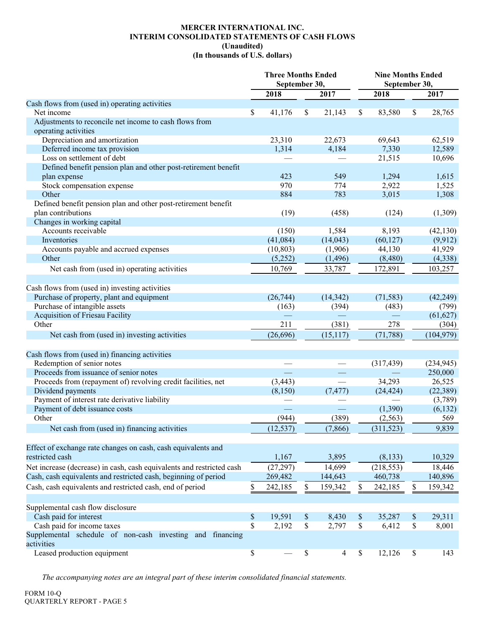### **MERCER INTERNATIONAL INC. INTERIM CONSOLIDATED STATEMENTS OF CASH FLOWS (Unaudited) (In thousands of U.S. dollars)**

|                                                                       | <b>Three Months Ended</b><br>September 30, |                      | <b>Nine Months Ended</b><br>September 30, |                    |
|-----------------------------------------------------------------------|--------------------------------------------|----------------------|-------------------------------------------|--------------------|
|                                                                       | 2018                                       | 2017                 | 2018                                      | 2017               |
| Cash flows from (used in) operating activities                        |                                            |                      |                                           |                    |
| Net income                                                            | \$<br>41,176                               | \$<br>21,143         | \$<br>83,580                              | \$<br>28,765       |
| Adjustments to reconcile net income to cash flows from                |                                            |                      |                                           |                    |
| operating activities                                                  |                                            |                      |                                           |                    |
| Depreciation and amortization                                         | 23,310                                     | 22,673               | 69,643                                    | 62,519             |
| Deferred income tax provision                                         | 1,314                                      | 4,184                | 7,330                                     | 12,589             |
| Loss on settlement of debt                                            |                                            |                      | 21,515                                    | 10,696             |
| Defined benefit pension plan and other post-retirement benefit        |                                            |                      |                                           |                    |
| plan expense                                                          | 423                                        | 549                  | 1,294                                     | 1,615              |
| Stock compensation expense                                            | 970                                        | 774                  | 2,922                                     | 1,525              |
| Other                                                                 | 884                                        | 783                  | 3,015                                     | 1,308              |
| Defined benefit pension plan and other post-retirement benefit        |                                            |                      |                                           |                    |
| plan contributions                                                    | (19)                                       | (458)                | (124)                                     | (1,309)            |
| Changes in working capital                                            |                                            |                      |                                           |                    |
| Accounts receivable                                                   | (150)                                      | 1,584                | 8,193                                     | (42, 130)          |
| Inventories                                                           | (41,084)                                   | (14, 043)            | (60, 127)                                 | (9, 912)           |
| Accounts payable and accrued expenses                                 | (10, 803)                                  | (1,906)              | 44,130                                    | 41,929             |
| Other                                                                 | (5,252)                                    | (1, 496)             | (8,480)                                   | (4,338)            |
| Net cash from (used in) operating activities                          | 10,769                                     | 33,787               | 172,891                                   | 103,257            |
|                                                                       |                                            |                      |                                           |                    |
| Cash flows from (used in) investing activities                        |                                            |                      |                                           |                    |
| Purchase of property, plant and equipment                             | (26, 744)                                  | (14, 342)            | (71, 583)                                 | (42, 249)          |
| Purchase of intangible assets                                         |                                            |                      |                                           |                    |
| <b>Acquisition of Friesau Facility</b>                                | (163)                                      | (394)                | (483)                                     | (799)<br>(61, 627) |
| Other                                                                 | 211                                        | (381)                | 278                                       | (304)              |
|                                                                       |                                            |                      |                                           |                    |
| Net cash from (used in) investing activities                          | (26, 696)                                  | (15, 117)            | (71, 788)                                 | (104, 979)         |
|                                                                       |                                            |                      |                                           |                    |
| Cash flows from (used in) financing activities                        |                                            |                      |                                           |                    |
| Redemption of senior notes                                            |                                            |                      | (317, 439)                                | (234, 945)         |
| Proceeds from issuance of senior notes                                | $\equiv$                                   |                      |                                           | 250,000            |
| Proceeds from (repayment of) revolving credit facilities, net         | (3, 443)                                   |                      | 34,293                                    | 26,525             |
| Dividend payments                                                     | (8,150)                                    | (7, 477)             | (24, 424)                                 | (22, 389)          |
| Payment of interest rate derivative liability                         |                                            |                      |                                           | (3,789)            |
| Payment of debt issuance costs                                        |                                            |                      | (1,390)                                   | (6, 132)           |
| Other                                                                 | (944)                                      | (389)                | (2, 563)                                  | 569                |
| Net cash from (used in) financing activities                          | (12, 537)                                  | (7, 866)             | (311, 523)                                | 9,839              |
|                                                                       |                                            |                      |                                           |                    |
| Effect of exchange rate changes on cash, cash equivalents and         |                                            |                      |                                           |                    |
| restricted cash                                                       | 1,167                                      | 3,895                | (8, 133)                                  | 10,329             |
| Net increase (decrease) in cash, cash equivalents and restricted cash | (27, 297)                                  | 14,699               | (218, 553)                                | 18,446             |
| Cash, cash equivalents and restricted cash, beginning of period       | 269,482                                    | 144,643              | 460,738                                   | 140,896            |
| Cash, cash equivalents and restricted cash, end of period             | \$<br>242,185                              | \$<br>159,342        | \$<br>242,185                             | \$<br>159,342      |
|                                                                       |                                            |                      |                                           |                    |
| Supplemental cash flow disclosure                                     |                                            |                      |                                           |                    |
| Cash paid for interest                                                | \$<br>19,591                               | \$<br>8,430          | \$<br>35,287                              | \$<br>29,311       |
| Cash paid for income taxes                                            | \$<br>2,192                                | \$<br>2,797          | \$<br>6,412                               | \$<br>8,001        |
| Supplemental schedule of non-cash investing and financing             |                                            |                      |                                           |                    |
| activities                                                            |                                            |                      |                                           |                    |
| Leased production equipment                                           | \$                                         | \$<br>$\overline{4}$ | \$<br>12,126                              | \$<br>143          |

*The accompanying notes are an integral part of these interim consolidated financial statements.*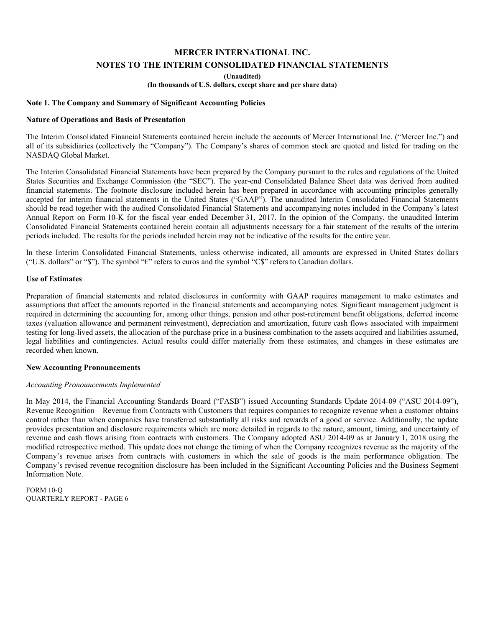**(Unaudited)** 

**(In thousands of U.S. dollars, except share and per share data)** 

#### **Note 1. The Company and Summary of Significant Accounting Policies**

### **Nature of Operations and Basis of Presentation**

The Interim Consolidated Financial Statements contained herein include the accounts of Mercer International Inc. ("Mercer Inc.") and all of its subsidiaries (collectively the "Company"). The Company's shares of common stock are quoted and listed for trading on the NASDAQ Global Market.

The Interim Consolidated Financial Statements have been prepared by the Company pursuant to the rules and regulations of the United States Securities and Exchange Commission (the "SEC"). The year-end Consolidated Balance Sheet data was derived from audited financial statements. The footnote disclosure included herein has been prepared in accordance with accounting principles generally accepted for interim financial statements in the United States ("GAAP"). The unaudited Interim Consolidated Financial Statements should be read together with the audited Consolidated Financial Statements and accompanying notes included in the Company's latest Annual Report on Form 10-K for the fiscal year ended December 31, 2017. In the opinion of the Company, the unaudited Interim Consolidated Financial Statements contained herein contain all adjustments necessary for a fair statement of the results of the interim periods included. The results for the periods included herein may not be indicative of the results for the entire year.

In these Interim Consolidated Financial Statements, unless otherwise indicated, all amounts are expressed in United States dollars ("U.S. dollars" or "\$"). The symbol "€" refers to euros and the symbol "C\$" refers to Canadian dollars.

### **Use of Estimates**

Preparation of financial statements and related disclosures in conformity with GAAP requires management to make estimates and assumptions that affect the amounts reported in the financial statements and accompanying notes. Significant management judgment is required in determining the accounting for, among other things, pension and other post-retirement benefit obligations, deferred income taxes (valuation allowance and permanent reinvestment), depreciation and amortization, future cash flows associated with impairment testing for long-lived assets, the allocation of the purchase price in a business combination to the assets acquired and liabilities assumed, legal liabilities and contingencies. Actual results could differ materially from these estimates, and changes in these estimates are recorded when known.

#### **New Accounting Pronouncements**

#### *Accounting Pronouncements Implemented*

In May 2014, the Financial Accounting Standards Board ("FASB") issued Accounting Standards Update 2014-09 ("ASU 2014-09"), Revenue Recognition – Revenue from Contracts with Customers that requires companies to recognize revenue when a customer obtains control rather than when companies have transferred substantially all risks and rewards of a good or service. Additionally, the update provides presentation and disclosure requirements which are more detailed in regards to the nature, amount, timing, and uncertainty of revenue and cash flows arising from contracts with customers. The Company adopted ASU 2014-09 as at January 1, 2018 using the modified retrospective method. This update does not change the timing of when the Company recognizes revenue as the majority of the Company's revenue arises from contracts with customers in which the sale of goods is the main performance obligation. The Company's revised revenue recognition disclosure has been included in the Significant Accounting Policies and the Business Segment Information Note.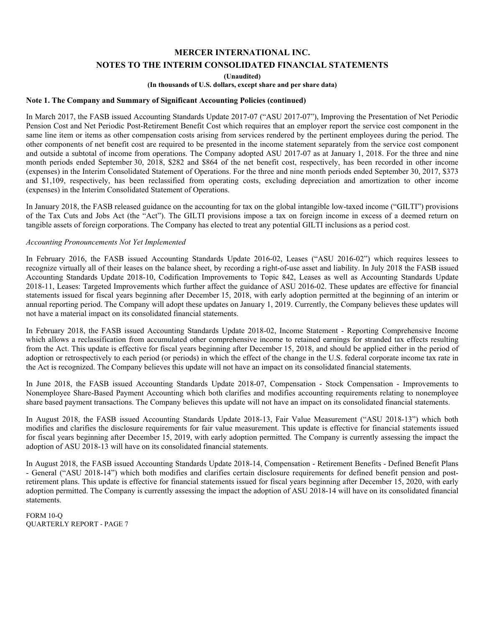**(Unaudited)** 

**(In thousands of U.S. dollars, except share and per share data)** 

#### **Note 1. The Company and Summary of Significant Accounting Policies (continued)**

In March 2017, the FASB issued Accounting Standards Update 2017-07 ("ASU 2017-07"), Improving the Presentation of Net Periodic Pension Cost and Net Periodic Post-Retirement Benefit Cost which requires that an employer report the service cost component in the same line item or items as other compensation costs arising from services rendered by the pertinent employees during the period. The other components of net benefit cost are required to be presented in the income statement separately from the service cost component and outside a subtotal of income from operations. The Company adopted ASU 2017-07 as at January 1, 2018. For the three and nine month periods ended September 30, 2018, \$282 and \$864 of the net benefit cost, respectively, has been recorded in other income (expenses) in the Interim Consolidated Statement of Operations. For the three and nine month periods ended September 30, 2017, \$373 and \$1,109, respectively, has been reclassified from operating costs, excluding depreciation and amortization to other income (expenses) in the Interim Consolidated Statement of Operations.

In January 2018, the FASB released guidance on the accounting for tax on the global intangible low-taxed income ("GILTI") provisions of the Tax Cuts and Jobs Act (the "Act"). The GILTI provisions impose a tax on foreign income in excess of a deemed return on tangible assets of foreign corporations. The Company has elected to treat any potential GILTI inclusions as a period cost.

#### *Accounting Pronouncements Not Yet Implemented*

In February 2016, the FASB issued Accounting Standards Update 2016-02, Leases ("ASU 2016-02") which requires lessees to recognize virtually all of their leases on the balance sheet, by recording a right-of-use asset and liability. In July 2018 the FASB issued Accounting Standards Update 2018-10, Codification Improvements to Topic 842, Leases as well as Accounting Standards Update 2018-11, Leases: Targeted Improvements which further affect the guidance of ASU 2016-02. These updates are effective for financial statements issued for fiscal years beginning after December 15, 2018, with early adoption permitted at the beginning of an interim or annual reporting period. The Company will adopt these updates on January 1, 2019. Currently, the Company believes these updates will not have a material impact on its consolidated financial statements.

In February 2018, the FASB issued Accounting Standards Update 2018-02, Income Statement - Reporting Comprehensive Income which allows a reclassification from accumulated other comprehensive income to retained earnings for stranded tax effects resulting from the Act. This update is effective for fiscal years beginning after December 15, 2018, and should be applied either in the period of adoption or retrospectively to each period (or periods) in which the effect of the change in the U.S. federal corporate income tax rate in the Act is recognized. The Company believes this update will not have an impact on its consolidated financial statements.

In June 2018, the FASB issued Accounting Standards Update 2018-07, Compensation - Stock Compensation - Improvements to Nonemployee Share-Based Payment Accounting which both clarifies and modifies accounting requirements relating to nonemployee share based payment transactions. The Company believes this update will not have an impact on its consolidated financial statements.

In August 2018, the FASB issued Accounting Standards Update 2018-13, Fair Value Measurement ("ASU 2018-13") which both modifies and clarifies the disclosure requirements for fair value measurement. This update is effective for financial statements issued for fiscal years beginning after December 15, 2019, with early adoption permitted. The Company is currently assessing the impact the adoption of ASU 2018-13 will have on its consolidated financial statements.

In August 2018, the FASB issued Accounting Standards Update 2018-14, Compensation - Retirement Benefits - Defined Benefit Plans - General ("ASU 2018-14") which both modifies and clarifies certain disclosure requirements for defined benefit pension and postretirement plans. This update is effective for financial statements issued for fiscal years beginning after December 15, 2020, with early adoption permitted. The Company is currently assessing the impact the adoption of ASU 2018-14 will have on its consolidated financial statements.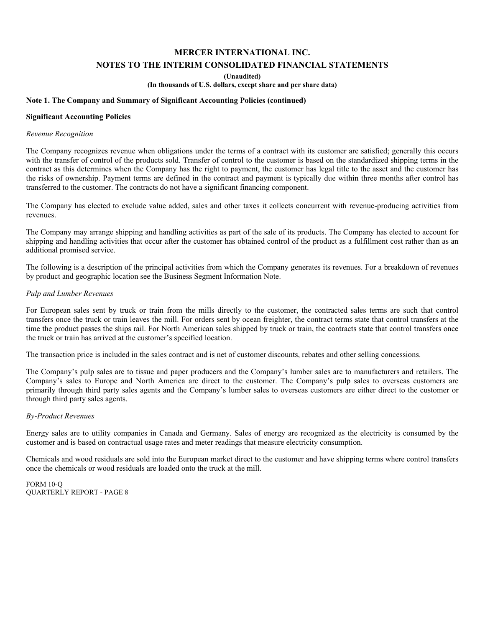**(Unaudited)** 

**(In thousands of U.S. dollars, except share and per share data)** 

## **Note 1. The Company and Summary of Significant Accounting Policies (continued)**

#### **Significant Accounting Policies**

#### *Revenue Recognition*

The Company recognizes revenue when obligations under the terms of a contract with its customer are satisfied; generally this occurs with the transfer of control of the products sold. Transfer of control to the customer is based on the standardized shipping terms in the contract as this determines when the Company has the right to payment, the customer has legal title to the asset and the customer has the risks of ownership. Payment terms are defined in the contract and payment is typically due within three months after control has transferred to the customer. The contracts do not have a significant financing component.

The Company has elected to exclude value added, sales and other taxes it collects concurrent with revenue-producing activities from revenues.

The Company may arrange shipping and handling activities as part of the sale of its products. The Company has elected to account for shipping and handling activities that occur after the customer has obtained control of the product as a fulfillment cost rather than as an additional promised service.

The following is a description of the principal activities from which the Company generates its revenues. For a breakdown of revenues by product and geographic location see the Business Segment Information Note.

#### *Pulp and Lumber Revenues*

For European sales sent by truck or train from the mills directly to the customer, the contracted sales terms are such that control transfers once the truck or train leaves the mill. For orders sent by ocean freighter, the contract terms state that control transfers at the time the product passes the ships rail. For North American sales shipped by truck or train, the contracts state that control transfers once the truck or train has arrived at the customer's specified location.

The transaction price is included in the sales contract and is net of customer discounts, rebates and other selling concessions.

The Company's pulp sales are to tissue and paper producers and the Company's lumber sales are to manufacturers and retailers. The Company's sales to Europe and North America are direct to the customer. The Company's pulp sales to overseas customers are primarily through third party sales agents and the Company's lumber sales to overseas customers are either direct to the customer or through third party sales agents.

## *By-Product Revenues*

Energy sales are to utility companies in Canada and Germany. Sales of energy are recognized as the electricity is consumed by the customer and is based on contractual usage rates and meter readings that measure electricity consumption.

Chemicals and wood residuals are sold into the European market direct to the customer and have shipping terms where control transfers once the chemicals or wood residuals are loaded onto the truck at the mill.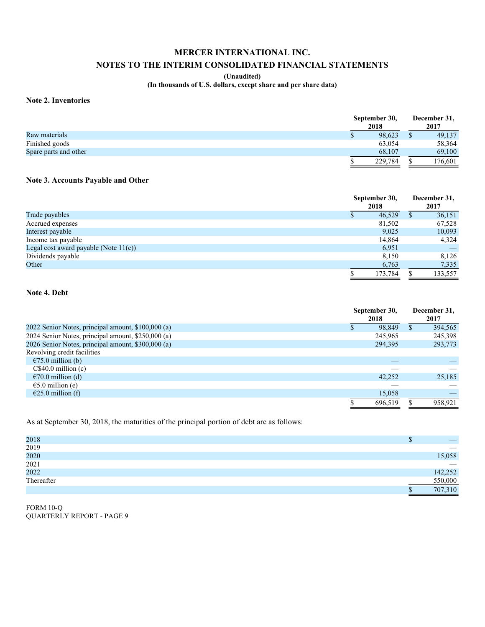## **MERCER INTERNATIONAL INC.**

## **NOTES TO THE INTERIM CONSOLIDATED FINANCIAL STATEMENTS**

### **(Unaudited)**

**(In thousands of U.S. dollars, except share and per share data)** 

#### **Note 2. Inventories**

|                       | September 30,<br>2018 | December 31,<br>2017 |         |  |
|-----------------------|-----------------------|----------------------|---------|--|
| Raw materials         | 98,623                |                      | 49,137  |  |
| Finished goods        | 63,054                |                      | 58,364  |  |
| Spare parts and other | 68.107                |                      | 69,100  |  |
|                       | 229,784               |                      | 176,601 |  |

## **Note 3. Accounts Payable and Other**

|                                          | September 30,<br>2018 |   | December 31,<br>2017 |  |
|------------------------------------------|-----------------------|---|----------------------|--|
| Trade payables                           | 46.529<br>Φ           | S | 36,151               |  |
| Accrued expenses                         | 81,502                |   | 67,528               |  |
| Interest payable                         | 9,025                 |   | 10,093               |  |
| Income tax payable                       | 14,864                |   | 4,324                |  |
| Legal cost award payable (Note $11(c)$ ) | 6,951                 |   |                      |  |
| Dividends payable                        | 8.150                 |   | 8,126                |  |
| Other                                    | 6,763                 |   | 7,335                |  |
|                                          | 173.784               |   | 133,557              |  |

## **Note 4. Debt**

|                                                    |   | September 30, |   | December 31, |
|----------------------------------------------------|---|---------------|---|--------------|
|                                                    |   | 2018          |   | 2017         |
| 2022 Senior Notes, principal amount, \$100,000 (a) | D | 98.849        | S | 394,565      |
| 2024 Senior Notes, principal amount, \$250,000 (a) |   | 245,965       |   | 245,398      |
| 2026 Senior Notes, principal amount, \$300,000 (a) |   | 294,395       |   | 293,773      |
| Revolving credit facilities                        |   |               |   |              |
| $\epsilon$ 75.0 million (b)                        |   |               |   |              |
| C\$40.0 million(c)                                 |   |               |   |              |
| $\epsilon$ 70.0 million (d)                        |   | 42.252        |   | 25,185       |
| $\epsilon$ 5.0 million (e)                         |   |               |   |              |
| $\epsilon$ 25.0 million (f)                        |   | 15,058        |   |              |
|                                                    | S | 696.519       |   | 958.921      |

As at September 30, 2018, the maturities of the principal portion of debt are as follows:

| 2018       |   |                                 |
|------------|---|---------------------------------|
| 2019       |   | $\overbrace{\hspace{15em}}$     |
| 2020       |   | 15,058                          |
| 2021       |   | $\hspace{0.1mm}-\hspace{0.1mm}$ |
| 2022       |   | 142,252                         |
| Thereafter |   | 550,000                         |
|            | ъ | 707,310                         |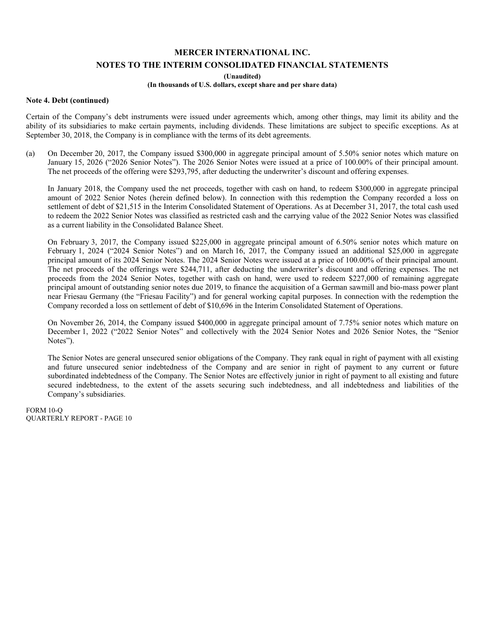**(Unaudited)** 

## **(In thousands of U.S. dollars, except share and per share data)**

#### **Note 4. Debt (continued)**

Certain of the Company's debt instruments were issued under agreements which, among other things, may limit its ability and the ability of its subsidiaries to make certain payments, including dividends. These limitations are subject to specific exceptions. As at September 30, 2018, the Company is in compliance with the terms of its debt agreements.

(a) On December 20, 2017, the Company issued \$300,000 in aggregate principal amount of 5.50% senior notes which mature on January 15, 2026 ("2026 Senior Notes"). The 2026 Senior Notes were issued at a price of 100.00% of their principal amount. The net proceeds of the offering were \$293,795, after deducting the underwriter's discount and offering expenses.

In January 2018, the Company used the net proceeds, together with cash on hand, to redeem \$300,000 in aggregate principal amount of 2022 Senior Notes (herein defined below). In connection with this redemption the Company recorded a loss on settlement of debt of \$21,515 in the Interim Consolidated Statement of Operations. As at December 31, 2017, the total cash used to redeem the 2022 Senior Notes was classified as restricted cash and the carrying value of the 2022 Senior Notes was classified as a current liability in the Consolidated Balance Sheet.

On February 3, 2017, the Company issued \$225,000 in aggregate principal amount of 6.50% senior notes which mature on February 1, 2024 ("2024 Senior Notes") and on March 16, 2017, the Company issued an additional \$25,000 in aggregate principal amount of its 2024 Senior Notes. The 2024 Senior Notes were issued at a price of 100.00% of their principal amount. The net proceeds of the offerings were \$244,711, after deducting the underwriter's discount and offering expenses. The net proceeds from the 2024 Senior Notes, together with cash on hand, were used to redeem \$227,000 of remaining aggregate principal amount of outstanding senior notes due 2019, to finance the acquisition of a German sawmill and bio-mass power plant near Friesau Germany (the "Friesau Facility") and for general working capital purposes. In connection with the redemption the Company recorded a loss on settlement of debt of \$10,696 in the Interim Consolidated Statement of Operations.

On November 26, 2014, the Company issued \$400,000 in aggregate principal amount of 7.75% senior notes which mature on December 1, 2022 ("2022 Senior Notes" and collectively with the 2024 Senior Notes and 2026 Senior Notes, the "Senior Notes").

The Senior Notes are general unsecured senior obligations of the Company. They rank equal in right of payment with all existing and future unsecured senior indebtedness of the Company and are senior in right of payment to any current or future subordinated indebtedness of the Company. The Senior Notes are effectively junior in right of payment to all existing and future secured indebtedness, to the extent of the assets securing such indebtedness, and all indebtedness and liabilities of the Company's subsidiaries.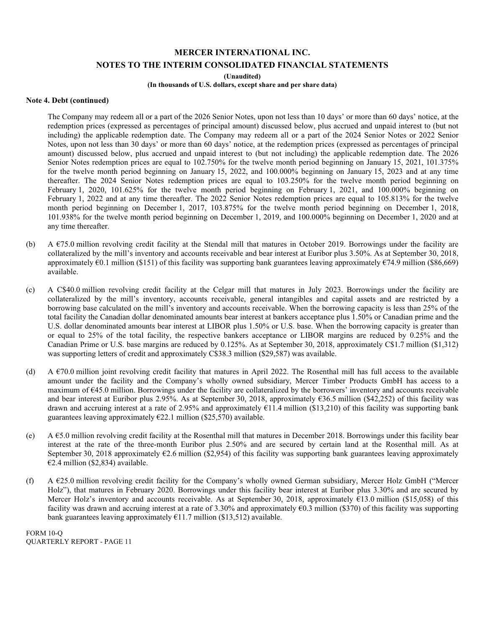**(Unaudited)** 

#### **(In thousands of U.S. dollars, except share and per share data)**

#### **Note 4. Debt (continued)**

The Company may redeem all or a part of the 2026 Senior Notes, upon not less than 10 days' or more than 60 days' notice, at the redemption prices (expressed as percentages of principal amount) discussed below, plus accrued and unpaid interest to (but not including) the applicable redemption date. The Company may redeem all or a part of the 2024 Senior Notes or 2022 Senior Notes, upon not less than 30 days' or more than 60 days' notice, at the redemption prices (expressed as percentages of principal amount) discussed below, plus accrued and unpaid interest to (but not including) the applicable redemption date. The 2026 Senior Notes redemption prices are equal to 102.750% for the twelve month period beginning on January 15, 2021, 101.375% for the twelve month period beginning on January 15, 2022, and 100.000% beginning on January 15, 2023 and at any time thereafter. The 2024 Senior Notes redemption prices are equal to 103.250% for the twelve month period beginning on February 1, 2020, 101.625% for the twelve month period beginning on February 1, 2021, and 100.000% beginning on February 1, 2022 and at any time thereafter. The 2022 Senior Notes redemption prices are equal to 105.813% for the twelve month period beginning on December 1, 2017, 103.875% for the twelve month period beginning on December 1, 2018, 101.938% for the twelve month period beginning on December 1, 2019, and 100.000% beginning on December 1, 2020 and at any time thereafter.

- (b) A €75.0 million revolving credit facility at the Stendal mill that matures in October 2019. Borrowings under the facility are collateralized by the mill's inventory and accounts receivable and bear interest at Euribor plus 3.50%. As at September 30, 2018, approximately  $60.1$  million (\$151) of this facility was supporting bank guarantees leaving approximately  $674.9$  million (\$86,669) available.
- (c) A C\$40.0 million revolving credit facility at the Celgar mill that matures in July 2023. Borrowings under the facility are collateralized by the mill's inventory, accounts receivable, general intangibles and capital assets and are restricted by a borrowing base calculated on the mill's inventory and accounts receivable. When the borrowing capacity is less than 25% of the total facility the Canadian dollar denominated amounts bear interest at bankers acceptance plus 1.50% or Canadian prime and the U.S. dollar denominated amounts bear interest at LIBOR plus 1.50% or U.S. base. When the borrowing capacity is greater than or equal to 25% of the total facility, the respective bankers acceptance or LIBOR margins are reduced by 0.25% and the Canadian Prime or U.S. base margins are reduced by 0.125%. As at September 30, 2018, approximately C\$1.7 million (\$1,312) was supporting letters of credit and approximately C\$38.3 million (\$29,587) was available.
- (d) A €70.0 million joint revolving credit facility that matures in April 2022. The Rosenthal mill has full access to the available amount under the facility and the Company's wholly owned subsidiary, Mercer Timber Products GmbH has access to a maximum of  $E$ 45.0 million. Borrowings under the facility are collateralized by the borrowers' inventory and accounts receivable and bear interest at Euribor plus 2.95%. As at September 30, 2018, approximately €36.5 million (\$42,252) of this facility was drawn and accruing interest at a rate of 2.95% and approximately  $\epsilon$ 11.4 million (\$13,210) of this facility was supporting bank guarantees leaving approximately  $E22.1$  million (\$25,570) available.
- (e) A €5.0 million revolving credit facility at the Rosenthal mill that matures in December 2018. Borrowings under this facility bear interest at the rate of the three-month Euribor plus 2.50% and are secured by certain land at the Rosenthal mill. As at September 30, 2018 approximately  $\epsilon$ 2.6 million (\$2,954) of this facility was supporting bank guarantees leaving approximately  $€2.4$  million (\$2,834) available.
- (f) A €25.0 million revolving credit facility for the Company's wholly owned German subsidiary, Mercer Holz GmbH ("Mercer Holz"), that matures in February 2020. Borrowings under this facility bear interest at Euribor plus 3.30% and are secured by Mercer Holz's inventory and accounts receivable. As at September 30, 2018, approximately  $\epsilon$ 13.0 million (\$15,058) of this facility was drawn and accruing interest at a rate of 3.30% and approximately  $\epsilon$ 0.3 million (\$370) of this facility was supporting bank guarantees leaving approximately  $E11.7$  million (\$13,512) available.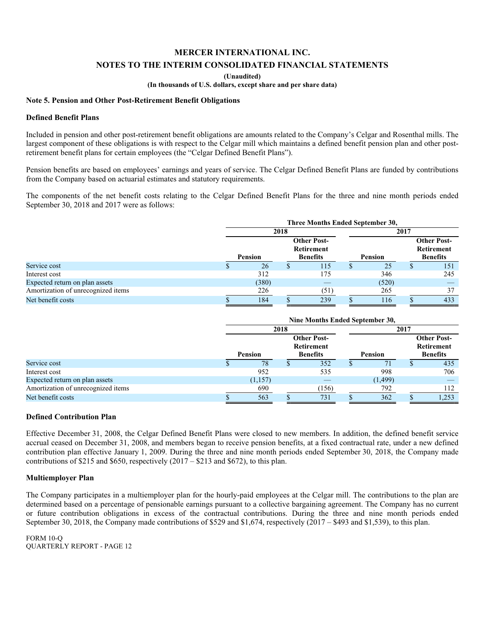**(Unaudited)** 

**(In thousands of U.S. dollars, except share and per share data)** 

### **Note 5. Pension and Other Post-Retirement Benefit Obligations**

#### **Defined Benefit Plans**

Included in pension and other post-retirement benefit obligations are amounts related to the Company's Celgar and Rosenthal mills. The largest component of these obligations is with respect to the Celgar mill which maintains a defined benefit pension plan and other postretirement benefit plans for certain employees (the "Celgar Defined Benefit Plans").

Pension benefits are based on employees' earnings and years of service. The Celgar Defined Benefit Plans are funded by contributions from the Company based on actuarial estimates and statutory requirements.

The components of the net benefit costs relating to the Celgar Defined Benefit Plans for the three and nine month periods ended September 30, 2018 and 2017 were as follows:

|                                    | Three Months Ended September 30, |  |                                                                |  |       |                                                            |     |  |  |
|------------------------------------|----------------------------------|--|----------------------------------------------------------------|--|-------|------------------------------------------------------------|-----|--|--|
|                                    | 2018                             |  |                                                                |  | 2017  |                                                            |     |  |  |
|                                    | <b>Pension</b>                   |  | <b>Other Post-</b><br>Retirement<br><b>Benefits</b><br>Pension |  |       | <b>Other Post-</b><br><b>Retirement</b><br><b>Benefits</b> |     |  |  |
| Service cost                       | 26                               |  | 115                                                            |  | 25    | ۰D                                                         | 151 |  |  |
| Interest cost                      | 312                              |  | 175                                                            |  | 346   |                                                            | 245 |  |  |
| Expected return on plan assets     | (380)                            |  |                                                                |  | (520) |                                                            |     |  |  |
| Amortization of unrecognized items | 226                              |  | (51)                                                           |  | 265   |                                                            | 37  |  |  |
| Net benefit costs                  | 184                              |  | 239                                                            |  | 116   |                                                            | 433 |  |  |

|                                    | Nine Months Ended September 30, |                                                            |      |     |                |      |                                                            |  |  |
|------------------------------------|---------------------------------|------------------------------------------------------------|------|-----|----------------|------|------------------------------------------------------------|--|--|
|                                    |                                 | 2018                                                       |      |     |                | 2017 |                                                            |  |  |
|                                    | <b>Pension</b>                  | <b>Other Post-</b><br><b>Retirement</b><br><b>Benefits</b> |      |     | <b>Pension</b> |      | <b>Other Post-</b><br><b>Retirement</b><br><b>Benefits</b> |  |  |
| Service cost                       | 78                              | ъ                                                          | 352  | аĐ. | 71             | D    | 435                                                        |  |  |
| Interest cost                      | 952                             |                                                            | 535  |     | 998            |      | 706                                                        |  |  |
| Expected return on plan assets     | (1,157)                         |                                                            |      |     | (1, 499)       |      |                                                            |  |  |
| Amortization of unrecognized items | 690                             |                                                            | 156) |     | 792            |      | 112                                                        |  |  |
| Net benefit costs                  | 563                             |                                                            | 731  |     | 362            |      | 1,253                                                      |  |  |

#### **Defined Contribution Plan**

Effective December 31, 2008, the Celgar Defined Benefit Plans were closed to new members. In addition, the defined benefit service accrual ceased on December 31, 2008, and members began to receive pension benefits, at a fixed contractual rate, under a new defined contribution plan effective January 1, 2009. During the three and nine month periods ended September 30, 2018, the Company made contributions of \$215 and \$650, respectively  $(2017 - $213$  and \$672), to this plan.

#### **Multiemployer Plan**

The Company participates in a multiemployer plan for the hourly-paid employees at the Celgar mill. The contributions to the plan are determined based on a percentage of pensionable earnings pursuant to a collective bargaining agreement. The Company has no current or future contribution obligations in excess of the contractual contributions. During the three and nine month periods ended September 30, 2018, the Company made contributions of \$529 and \$1,674, respectively (2017 – \$493 and \$1,539), to this plan.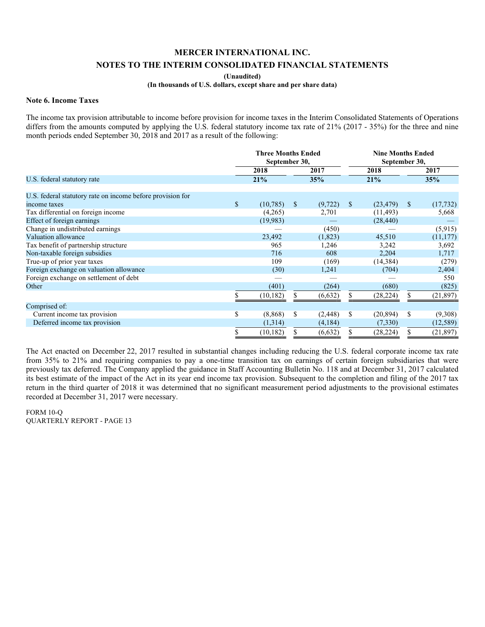**(Unaudited)** 

#### **(In thousands of U.S. dollars, except share and per share data)**

#### **Note 6. Income Taxes**

The income tax provision attributable to income before provision for income taxes in the Interim Consolidated Statements of Operations differs from the amounts computed by applying the U.S. federal statutory income tax rate of 21% (2017 - 35%) for the three and nine month periods ended September 30, 2018 and 2017 as a result of the following:

|                                                            |    | <b>Three Months Ended</b><br>September 30, |              |          |    | <b>Nine Months Ended</b><br>September 30, |               |           |
|------------------------------------------------------------|----|--------------------------------------------|--------------|----------|----|-------------------------------------------|---------------|-----------|
|                                                            |    | 2018                                       |              | 2017     |    | 2018                                      |               | 2017      |
| U.S. federal statutory rate                                |    | 21%                                        |              | 35%      |    | 21%                                       |               | 35%       |
| U.S. federal statutory rate on income before provision for |    |                                            |              |          |    |                                           |               |           |
| income taxes                                               | \$ | (10, 785)                                  | <sup>S</sup> | (9, 722) | \$ | (23, 479)                                 | <sup>\$</sup> | (17, 732) |
| Tax differential on foreign income                         |    | (4,265)                                    |              | 2,701    |    | (11, 493)                                 |               | 5,668     |
| Effect of foreign earnings                                 |    | (19,983)                                   |              |          |    | (28, 440)                                 |               |           |
| Change in undistributed earnings                           |    |                                            |              | (450)    |    |                                           |               | (5,915)   |
| Valuation allowance                                        |    | 23,492                                     |              | (1,823)  |    | 45,510                                    |               | (11, 177) |
| Tax benefit of partnership structure                       |    | 965                                        |              | 1,246    |    | 3,242                                     |               | 3,692     |
| Non-taxable foreign subsidies                              |    | 716                                        |              | 608      |    | 2,204                                     |               | 1,717     |
| True-up of prior year taxes                                |    | 109                                        |              | (169)    |    | (14, 384)                                 |               | (279)     |
| Foreign exchange on valuation allowance                    |    | (30)                                       |              | 1,241    |    | (704)                                     |               | 2,404     |
| Foreign exchange on settlement of debt                     |    |                                            |              |          |    |                                           |               | 550       |
| Other                                                      |    | (401)                                      |              | (264)    |    | (680)                                     |               | (825)     |
|                                                            |    | (10, 182)                                  |              | (6, 632) | S  | (28, 224)                                 |               | (21, 897) |
| Comprised of:                                              |    |                                            |              |          |    |                                           |               |           |
| Current income tax provision                               | \$ | (8,868)                                    | S            | (2, 448) | S  | (20, 894)                                 | <sup>\$</sup> | (9,308)   |
| Deferred income tax provision                              |    | (1,314)                                    |              | (4,184)  |    | (7,330)                                   |               | (12, 589) |
|                                                            | S  | (10, 182)                                  |              | (6, 632) |    | (28, 224)                                 |               | (21, 897) |

The Act enacted on December 22, 2017 resulted in substantial changes including reducing the U.S. federal corporate income tax rate from 35% to 21% and requiring companies to pay a one-time transition tax on earnings of certain foreign subsidiaries that were previously tax deferred. The Company applied the guidance in Staff Accounting Bulletin No. 118 and at December 31, 2017 calculated its best estimate of the impact of the Act in its year end income tax provision. Subsequent to the completion and filing of the 2017 tax return in the third quarter of 2018 it was determined that no significant measurement period adjustments to the provisional estimates recorded at December 31, 2017 were necessary.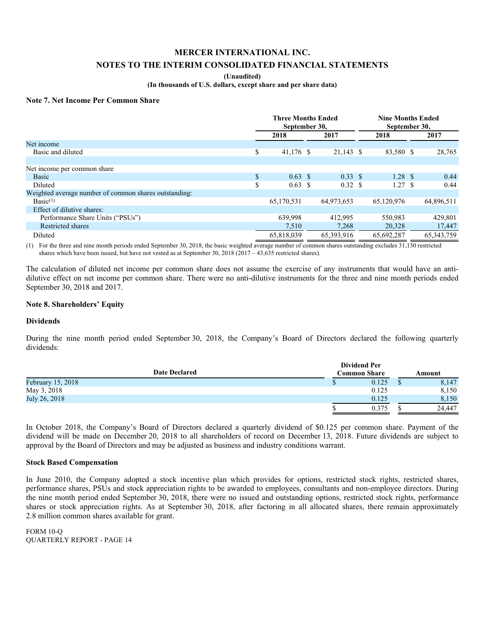### **MERCER INTERNATIONAL INC.**

## **NOTES TO THE INTERIM CONSOLIDATED FINANCIAL STATEMENTS**

#### **(Unaudited)**

**(In thousands of U.S. dollars, except share and per share data)** 

#### **Note 7. Net Income Per Common Share**

|                                                       | <b>Three Months Ended</b><br>September 30, |  |              | <b>Nine Months Ended</b><br>September 30, |                    |  |              |
|-------------------------------------------------------|--------------------------------------------|--|--------------|-------------------------------------------|--------------------|--|--------------|
|                                                       | 2018<br>2017                               |  |              | 2018                                      |                    |  | 2017         |
| Net income                                            |                                            |  |              |                                           |                    |  |              |
| Basic and diluted                                     | \$<br>41,176 \$                            |  | 21,143 \$    |                                           | 83,580 \$          |  | 28,765       |
|                                                       |                                            |  |              |                                           |                    |  |              |
| Net income per common share                           |                                            |  |              |                                           |                    |  |              |
| <b>Basic</b>                                          | \$<br>$0.63 \text{ }$ \$                   |  | 0.33 S       |                                           | $1.28 \text{ }$ \$ |  | 0.44         |
| Diluted                                               | \$<br>$0.63 \text{ }$ \$                   |  | 0.32 S       |                                           | 1.27S              |  | 0.44         |
| Weighted average number of common shares outstanding: |                                            |  |              |                                           |                    |  |              |
| Basic <sup>(1)</sup>                                  | 65,170,531                                 |  | 64,973,653   |                                           | 65,120,976         |  | 64,896,511   |
| Effect of dilutive shares:                            |                                            |  |              |                                           |                    |  |              |
| Performance Share Units ("PSUs")                      | 639,998                                    |  | 412.995      |                                           | 550,983            |  | 429,801      |
| Restricted shares                                     | 7,510                                      |  | 7,268        |                                           | 20,328             |  | 17,447       |
| Diluted                                               | 65.818.039                                 |  | 65, 393, 916 |                                           | 65,692,287         |  | 65, 343, 759 |

(1) For the three and nine month periods ended September 30, 2018, the basic weighted average number of common shares outstanding excludes  $31,130$  restricted shares which have been issued, but have not vested as at September 30, 2018 (2017 – 43,635 restricted shares).

The calculation of diluted net income per common share does not assume the exercise of any instruments that would have an antidilutive effect on net income per common share. There were no anti-dilutive instruments for the three and nine month periods ended September 30, 2018 and 2017.

#### **Note 8. Shareholders' Equity**

#### **Dividends**

During the nine month period ended September 30, 2018, the Company's Board of Directors declared the following quarterly dividends:

|                   | <b>Dividend Per</b><br><b>Common Share</b> |       |  |        |  |  |
|-------------------|--------------------------------------------|-------|--|--------|--|--|
| February 15, 2018 |                                            | 0.125 |  | 8,147  |  |  |
| May 3, 2018       |                                            | 0.125 |  | 8,150  |  |  |
| July 26, 2018     |                                            | 0.125 |  | 8,150  |  |  |
|                   |                                            | 0.375 |  | 24.447 |  |  |

In October 2018, the Company's Board of Directors declared a quarterly dividend of \$0.125 per common share. Payment of the dividend will be made on December 20, 2018 to all shareholders of record on December 13, 2018. Future dividends are subject to approval by the Board of Directors and may be adjusted as business and industry conditions warrant.

#### **Stock Based Compensation**

In June 2010, the Company adopted a stock incentive plan which provides for options, restricted stock rights, restricted shares, performance shares, PSUs and stock appreciation rights to be awarded to employees, consultants and non-employee directors. During the nine month period ended September 30, 2018, there were no issued and outstanding options, restricted stock rights, performance shares or stock appreciation rights. As at September 30, 2018, after factoring in all allocated shares, there remain approximately 2.8 million common shares available for grant.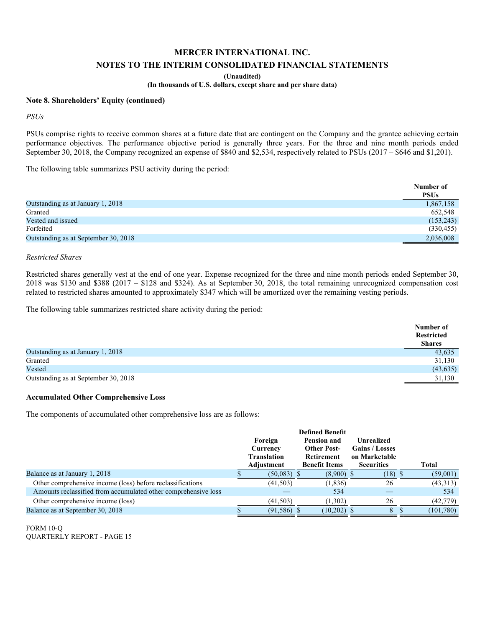## **MERCER INTERNATIONAL INC.**

#### **NOTES TO THE INTERIM CONSOLIDATED FINANCIAL STATEMENTS**

**(Unaudited)** 

**(In thousands of U.S. dollars, except share and per share data)** 

#### **Note 8. Shareholders' Equity (continued)**

*PSUs* 

PSUs comprise rights to receive common shares at a future date that are contingent on the Company and the grantee achieving certain performance objectives. The performance objective period is generally three years. For the three and nine month periods ended September 30, 2018, the Company recognized an expense of \$840 and \$2,534, respectively related to PSUs (2017 – \$646 and \$1,201).

The following table summarizes PSU activity during the period:

|                                      | Number of   |
|--------------------------------------|-------------|
|                                      | <b>PSUs</b> |
| Outstanding as at January 1, 2018    | 1,867,158   |
| Granted                              | 652,548     |
| Vested and issued                    | (153, 243)  |
| Forfeited                            | (330, 455)  |
| Outstanding as at September 30, 2018 | 2,036,008   |

#### *Restricted Shares*

Restricted shares generally vest at the end of one year. Expense recognized for the three and nine month periods ended September 30, 2018 was \$130 and \$388 (2017 – \$128 and \$324). As at September 30, 2018, the total remaining unrecognized compensation cost related to restricted shares amounted to approximately \$347 which will be amortized over the remaining vesting periods.

The following table summarizes restricted share activity during the period:

|                                      | Number of         |
|--------------------------------------|-------------------|
|                                      | <b>Restricted</b> |
|                                      | <b>Shares</b>     |
| Outstanding as at January 1, 2018    | 43,635            |
| Granted                              | 31,130            |
| Vested                               | (43, 635)         |
| Outstanding as at September 30, 2018 | 31,130            |

#### **Accumulated Other Comprehensive Loss**

The components of accumulated other comprehensive loss are as follows:

|                                                                | Foreign |                    |                    | <b>Pension and</b>   |                       |                   | <b>Unrealized</b> |            |  |  |  |
|----------------------------------------------------------------|---------|--------------------|--------------------|----------------------|-----------------------|-------------------|-------------------|------------|--|--|--|
|                                                                |         | Currency           | <b>Other Post-</b> |                      | <b>Gains / Losses</b> |                   |                   |            |  |  |  |
|                                                                |         | <b>Translation</b> |                    | <b>Retirement</b>    |                       | on Marketable     |                   |            |  |  |  |
|                                                                |         | Adjustment         |                    | <b>Benefit Items</b> |                       | <b>Securities</b> |                   | Total      |  |  |  |
| Balance as at January 1, 2018                                  |         | $(50,083)$ \$      |                    | $(8,900)$ \$         |                       | $(18)$ \$         |                   | (59,001)   |  |  |  |
| Other comprehensive income (loss) before reclassifications     |         | (41, 503)          |                    | (1,836)              |                       | 26                |                   | (43,313)   |  |  |  |
| Amounts reclassified from accumulated other comprehensive loss |         |                    |                    | 534                  |                       |                   |                   | 534        |  |  |  |
| Other comprehensive income (loss)                              |         | (41,503)           |                    | (1,302)              |                       | 26                |                   | (42, 779)  |  |  |  |
| Balance as at September 30, 2018                               |         | $(91,586)$ \$      |                    | $(10,202)$ \$        |                       | 8 \$              |                   | (101, 780) |  |  |  |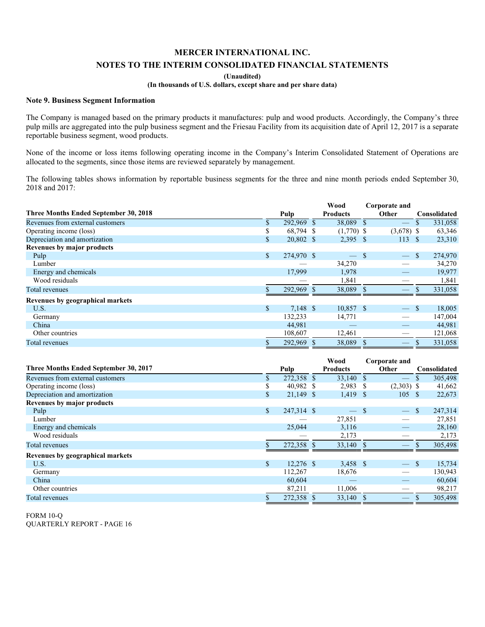**(Unaudited)** 

### **(In thousands of U.S. dollars, except share and per share data)**

#### **Note 9. Business Segment Information**

The Company is managed based on the primary products it manufactures: pulp and wood products. Accordingly, the Company's three pulp mills are aggregated into the pulp business segment and the Friesau Facility from its acquisition date of April 12, 2017 is a separate reportable business segment, wood products.

None of the income or loss items following operating income in the Company's Interim Consolidated Statement of Operations are allocated to the segments, since those items are reviewed separately by management.

The following tables shows information by reportable business segments for the three and nine month periods ended September 30, 2018 and 2017:

|                                       |               |            | Wood            | Corporate and |              |              |
|---------------------------------------|---------------|------------|-----------------|---------------|--------------|--------------|
| Three Months Ended September 30, 2018 |               | Pulp       | <b>Products</b> | Other         |              | Consolidated |
| Revenues from external customers      | \$            | 292,969 \$ | 38,089 \$       |               |              | 331,058      |
| Operating income (loss)               |               | 68,794 \$  | $(1,770)$ \$    | $(3,678)$ \$  |              | 63,346       |
| Depreciation and amortization         | \$            | 20,802 \$  | $2,395$ \$      | 113           | - \$         | 23,310       |
| Revenues by major products            |               |            |                 |               |              |              |
| Pulp                                  | $\mathcal{S}$ | 274,970 \$ | $-$ \$          | $\frac{1}{2}$ | <sup>S</sup> | 274,970      |
| Lumber                                |               |            | 34,270          |               |              | 34,270       |
| Energy and chemicals                  |               | 17,999     | 1,978           |               |              | 19,977       |
| Wood residuals                        |               |            | 1,841           |               |              | 1,841        |
| Total revenues                        |               | 292,969 \$ | 38,089 \$       |               |              | 331,058      |
| Revenues by geographical markets      |               |            |                 |               |              |              |
| U.S.                                  | $\mathbb{S}$  | 7,148 \$   | $10,857$ \$     |               | -8           | 18,005       |
| Germany                               |               | 132,233    | 14,771          |               |              | 147,004      |
| China                                 |               | 44,981     |                 |               |              | 44,981       |
| Other countries                       |               | 108,607    | 12,461          |               |              | 121,068      |
| Total revenues                        |               | 292,969 \$ | 38,089 \$       |               |              | 331,058      |

|                                       |              |             | Wood            |      | Corporate and            |              |              |
|---------------------------------------|--------------|-------------|-----------------|------|--------------------------|--------------|--------------|
| Three Months Ended September 30, 2017 |              | Pulp        | <b>Products</b> |      | Other                    |              | Consolidated |
| Revenues from external customers      | \$.          | 272,358 \$  | 33,140 \$       |      | $\overline{\phantom{m}}$ | \$           | 305,498      |
| Operating income (loss)               | S            | 40,982 \$   | 2,983           | - S  | $(2,303)$ \$             |              | 41,662       |
| Depreciation and amortization         | $\mathbb{S}$ | $21,149$ \$ | 1,419           | - \$ | 105                      | - \$         | 22,673       |
| Revenues by major products            |              |             |                 |      |                          |              |              |
| Pulp                                  | $\mathbb{S}$ | 247,314 \$  | $-$ \$          |      | $\overline{\phantom{0}}$ | <sup>S</sup> | 247,314      |
| Lumber                                |              |             | 27,851          |      |                          |              | 27,851       |
| Energy and chemicals                  |              | 25,044      | 3,116           |      |                          |              | 28,160       |
| Wood residuals                        |              |             | 2,173           |      |                          |              | 2,173        |
| Total revenues                        |              | 272,358 \$  | 33,140 \$       |      |                          |              | 305,498      |
| Revenues by geographical markets      |              |             |                 |      |                          |              |              |
| U.S.                                  | $\mathbb{S}$ | $12,276$ \$ | $3,458$ \$      |      | $\frac{1}{2}$            | -S           | 15,734       |
| Germany                               |              | 112,267     | 18,676          |      |                          |              | 130,943      |
| China                                 |              | 60,604      |                 |      |                          |              | 60,604       |
| Other countries                       |              | 87,211      | 11,006          |      |                          |              | 98,217       |
| Total revenues                        |              | 272,358 \$  | 33,140 \$       |      |                          |              | 305,498      |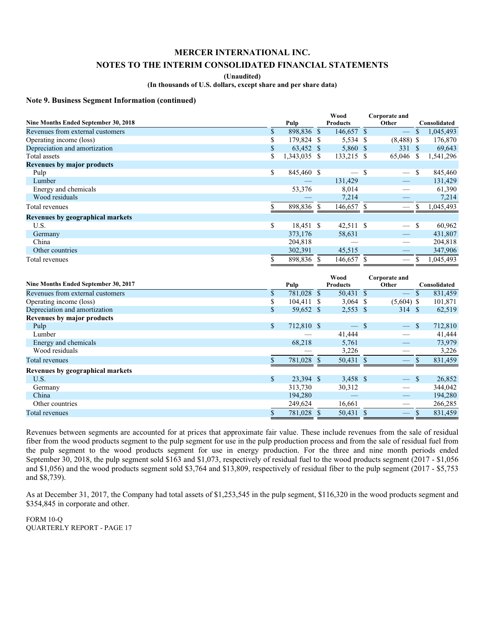## **MERCER INTERNATIONAL INC.**

## **NOTES TO THE INTERIM CONSOLIDATED FINANCIAL STATEMENTS**

**(Unaudited)** 

**(In thousands of U.S. dollars, except share and per share data)** 

#### **Note 9. Business Segment Information (continued)**

|                                      |                    | Wood                     |    | Corporate and   |              |              |
|--------------------------------------|--------------------|--------------------------|----|-----------------|--------------|--------------|
| Nine Months Ended September 30, 2018 | Pulp               | <b>Products</b>          |    | Other           |              | Consolidated |
| Revenues from external customers     | \$<br>898,836 \$   | 146,657 \$               |    |                 |              | 1,045,493    |
| Operating income (loss)              | \$<br>179,824 \$   | 5,534 \$                 |    | $(8,488)$ \$    |              | 176,870      |
| Depreciation and amortization        | \$<br>63,452 \$    | 5,860 \$                 |    | 331S            |              | 69,643       |
| Total assets                         | \$<br>1,343,035 \$ | 133,215 \$               |    | 65,046 \$       |              | 1,541,296    |
| <b>Revenues by major products</b>    |                    |                          |    |                 |              |              |
| Pulp                                 | \$<br>845,460 \$   | $\overline{\phantom{a}}$ | -S |                 | <sup>S</sup> | 845,460      |
| Lumber                               |                    | 131,429                  |    |                 |              | 131,429      |
| Energy and chemicals                 | 53,376             | 8,014                    |    |                 |              | 61,390       |
| Wood residuals                       |                    | 7,214                    |    |                 |              | 7,214        |
| Total revenues                       | 898,836            | 146,657 \$               |    |                 |              | 1,045,493    |
| Revenues by geographical markets     |                    |                          |    |                 |              |              |
| U.S.                                 | \$<br>18,451 \$    | 42,511 \$                |    |                 | -S           | 60,962       |
| Germany                              | 373,176            | 58,631                   |    |                 |              | 431,807      |
| China                                | 204,818            |                          |    |                 |              | 204,818      |
| Other countries                      | 302,391            | 45,515                   |    | $\qquad \qquad$ |              | 347,906      |
| Total revenues                       | 898,836 \$         | 146,657 \$               |    |                 |              | 1,045,493    |

|                                      |              |            | Wood            |    | Corporate and                 |              |              |
|--------------------------------------|--------------|------------|-----------------|----|-------------------------------|--------------|--------------|
| Nine Months Ended September 30, 2017 |              | Pulp       | <b>Products</b> |    | Other                         |              | Consolidated |
| Revenues from external customers     | \$           | 781,028 \$ | 50,431 \$       |    |                               |              | 831,459      |
| Operating income (loss)              | \$           | 104,411 \$ | $3,064$ \$      |    | $(5,604)$ \$                  |              | 101,871      |
| Depreciation and amortization        | \$           | 59,652 \$  | $2,553$ \$      |    | 314 \$                        |              | 62,519       |
| Revenues by major products           |              |            |                 |    |                               |              |              |
| Pulp                                 | $\mathbb{S}$ | 712,810 \$ | $\frac{1}{2}$   | -S | $\overline{\phantom{m}}$      | <sup>S</sup> | 712,810      |
| Lumber                               |              |            | 41,444          |    |                               |              | 41,444       |
| Energy and chemicals                 |              | 68,218     | 5,761           |    |                               |              | 73,979       |
| Wood residuals                       |              |            | 3,226           |    |                               |              | 3,226        |
| Total revenues                       |              | 781,028 \$ | 50,431 \$       |    |                               |              | 831,459      |
| Revenues by geographical markets     |              |            |                 |    |                               |              |              |
| U.S.                                 | $\mathbb{S}$ | 23,394 \$  | 3,458 \$        |    | $-$ \$                        |              | 26,852       |
| Germany                              |              | 313,730    | 30,312          |    |                               |              | 344,042      |
| China                                |              | 194,280    |                 |    |                               |              | 194,280      |
| Other countries                      |              | 249,624    | 16,661          |    | $\overbrace{\phantom{13333}}$ |              | 266,285      |
| Total revenues                       | S            | 781,028 \$ | 50,431 \$       |    | $\overline{\phantom{0}}$      |              | 831.459      |

Revenues between segments are accounted for at prices that approximate fair value. These include revenues from the sale of residual fiber from the wood products segment to the pulp segment for use in the pulp production process and from the sale of residual fuel from the pulp segment to the wood products segment for use in energy production. For the three and nine month periods ended September 30, 2018, the pulp segment sold \$163 and \$1,073, respectively of residual fuel to the wood products segment (2017 - \$1,056 and \$1,056) and the wood products segment sold \$3,764 and \$13,809, respectively of residual fiber to the pulp segment (2017 - \$5,753 and \$8,739).

As at December 31, 2017, the Company had total assets of \$1,253,545 in the pulp segment, \$116,320 in the wood products segment and \$354,845 in corporate and other.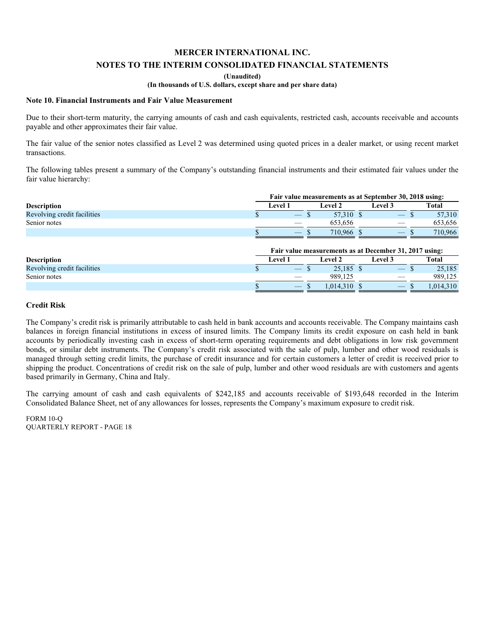### **(Unaudited)**

## **(In thousands of U.S. dollars, except share and per share data)**

#### **Note 10. Financial Instruments and Fair Value Measurement**

Due to their short-term maturity, the carrying amounts of cash and cash equivalents, restricted cash, accounts receivable and accounts payable and other approximates their fair value.

The fair value of the senior notes classified as Level 2 was determined using quoted prices in a dealer market, or using recent market transactions.

The following tables present a summary of the Company's outstanding financial instruments and their estimated fair values under the fair value hierarchy:

|                             | Fair value measurements as at September 30, 2018 using: |                |  |           |  |                                 |  |              |  |  |  |
|-----------------------------|---------------------------------------------------------|----------------|--|-----------|--|---------------------------------|--|--------------|--|--|--|
| <b>Description</b>          |                                                         | <b>Level 1</b> |  | Level 2   |  | <b>Level 3</b>                  |  | <b>Total</b> |  |  |  |
| Revolving credit facilities |                                                         |                |  | 57.310 \$ |  |                                 |  | 57,310       |  |  |  |
| Senior notes                |                                                         |                |  | 653.656   |  |                                 |  | 653.656      |  |  |  |
|                             |                                                         |                |  | 710.966   |  | $\hspace{0.1mm}-\hspace{0.1mm}$ |  | 710,966      |  |  |  |
|                             |                                                         |                |  |           |  |                                 |  |              |  |  |  |

|                             | Fair value measurements as at December 31, 2017 using: |                |  |          |  |                |  |          |  |  |  |
|-----------------------------|--------------------------------------------------------|----------------|--|----------|--|----------------|--|----------|--|--|--|
| <b>Description</b>          |                                                        | <b>Level 1</b> |  | ∟evel 2  |  | <b>Level 3</b> |  | Total    |  |  |  |
| Revolving credit facilities |                                                        |                |  | 25.185   |  |                |  | 25,185   |  |  |  |
| Senior notes                |                                                        |                |  | 989.125  |  |                |  | 989.125  |  |  |  |
|                             |                                                        |                |  | .014.310 |  |                |  | .014.310 |  |  |  |

#### **Credit Risk**

The Company's credit risk is primarily attributable to cash held in bank accounts and accounts receivable. The Company maintains cash balances in foreign financial institutions in excess of insured limits. The Company limits its credit exposure on cash held in bank accounts by periodically investing cash in excess of short-term operating requirements and debt obligations in low risk government bonds, or similar debt instruments. The Company's credit risk associated with the sale of pulp, lumber and other wood residuals is managed through setting credit limits, the purchase of credit insurance and for certain customers a letter of credit is received prior to shipping the product. Concentrations of credit risk on the sale of pulp, lumber and other wood residuals are with customers and agents based primarily in Germany, China and Italy.

The carrying amount of cash and cash equivalents of \$242,185 and accounts receivable of \$193,648 recorded in the Interim Consolidated Balance Sheet, net of any allowances for losses, represents the Company's maximum exposure to credit risk.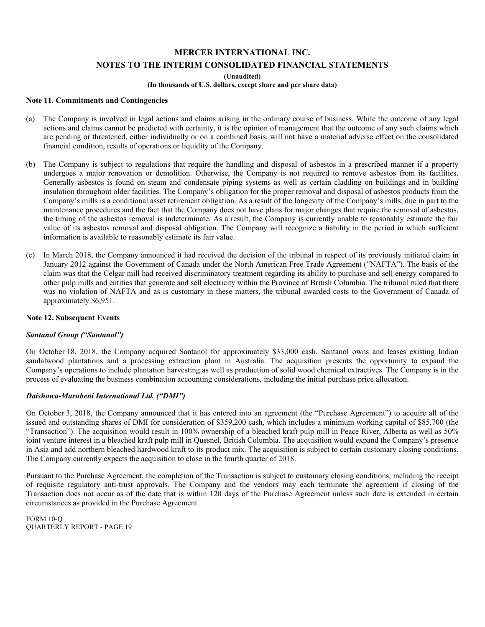#### **(Unaudited)**

## **(In thousands of U.S. dollars, except share and per share data)**

## **Note 11. Commitments and Contingencies**

- (a) The Company is involved in legal actions and claims arising in the ordinary course of business. While the outcome of any legal actions and claims cannot be predicted with certainty, it is the opinion of management that the outcome of any such claims which are pending or threatened, either individually or on a combined basis, will not have a material adverse effect on the consolidated financial condition, results of operations or liquidity of the Company.
- (b) The Company is subject to regulations that require the handling and disposal of asbestos in a prescribed manner if a property undergoes a major renovation or demolition. Otherwise, the Company is not required to remove asbestos from its facilities. Generally asbestos is found on steam and condensate piping systems as well as certain cladding on buildings and in building insulation throughout older facilities. The Company's obligation for the proper removal and disposal of asbestos products from the Company's mills is a conditional asset retirement obligation. As a result of the longevity of the Company's mills, due in part to the maintenance procedures and the fact that the Company does not have plans for major changes that require the removal of asbestos, the timing of the asbestos removal is indeterminate. As a result, the Company is currently unable to reasonably estimate the fair value of its asbestos removal and disposal obligation. The Company will recognize a liability in the period in which sufficient information is available to reasonably estimate its fair value.
- (c) In March 2018, the Company announced it had received the decision of the tribunal in respect of its previously initiated claim in January 2012 against the Government of Canada under the North American Free Trade Agreement ("NAFTA"). The basis of the claim was that the Celgar mill had received discriminatory treatment regarding its ability to purchase and sell energy compared to other pulp mills and entities that generate and sell electricity within the Province of British Columbia. The tribunal ruled that there was no violation of NAFTA and as is customary in these matters, the tribunal awarded costs to the Government of Canada of approximately \$6,951.

#### **Note 12. Subsequent Events**

#### *Santanol Group ("Santanol")*

On October 18, 2018, the Company acquired Santanol for approximately \$33,000 cash. Santanol owns and leases existing Indian sandalwood plantations and a processing extraction plant in Australia. The acquisition presents the opportunity to expand the Company's operations to include plantation harvesting as well as production of solid wood chemical extractives. The Company is in the process of evaluating the business combination accounting considerations, including the initial purchase price allocation.

#### *Daishowa-Marubeni International Ltd. ("DMI")*

On October 3, 2018, the Company announced that it has entered into an agreement (the "Purchase Agreement") to acquire all of the issued and outstanding shares of DMI for consideration of \$359,200 cash, which includes a minimum working capital of \$85,700 (the "Transaction"). The acquisition would result in 100% ownership of a bleached kraft pulp mill in Peace River, Alberta as well as 50% joint venture interest in a bleached kraft pulp mill in Quesnel, British Columbia. The acquisition would expand the Company's presence in Asia and add northern bleached hardwood kraft to its product mix. The acquisition is subject to certain customary closing conditions. The Company currently expects the acquisition to close in the fourth quarter of 2018.

Pursuant to the Purchase Agreement, the completion of the Transaction is subject to customary closing conditions, including the receipt of requisite regulatory anti-trust approvals. The Company and the vendors may each terminate the agreement if closing of the Transaction does not occur as of the date that is within 120 days of the Purchase Agreement unless such date is extended in certain circumstances as provided in the Purchase Agreement.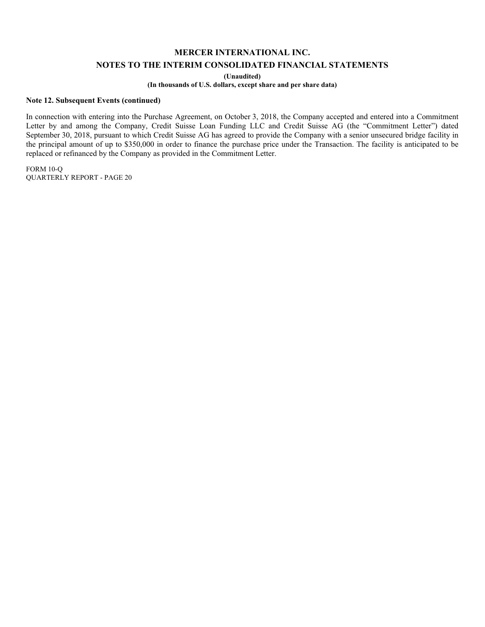**(Unaudited)** 

**(In thousands of U.S. dollars, except share and per share data)** 

#### **Note 12. Subsequent Events (continued)**

In connection with entering into the Purchase Agreement, on October 3, 2018, the Company accepted and entered into a Commitment Letter by and among the Company, Credit Suisse Loan Funding LLC and Credit Suisse AG (the "Commitment Letter") dated September 30, 2018, pursuant to which Credit Suisse AG has agreed to provide the Company with a senior unsecured bridge facility in the principal amount of up to \$350,000 in order to finance the purchase price under the Transaction. The facility is anticipated to be replaced or refinanced by the Company as provided in the Commitment Letter.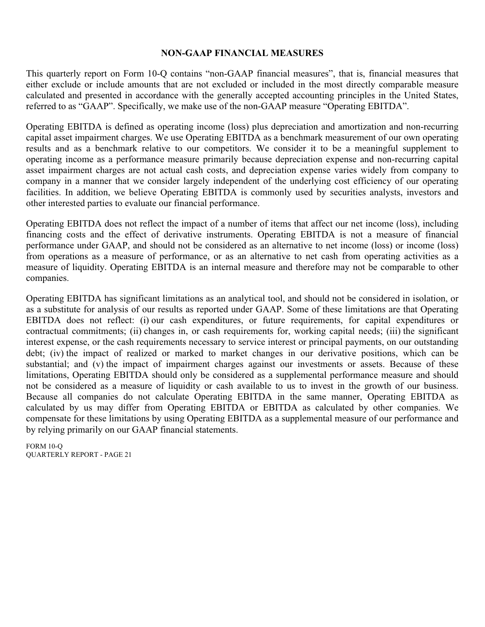# **NON-GAAP FINANCIAL MEASURES**

This quarterly report on Form 10-Q contains "non-GAAP financial measures", that is, financial measures that either exclude or include amounts that are not excluded or included in the most directly comparable measure calculated and presented in accordance with the generally accepted accounting principles in the United States, referred to as "GAAP". Specifically, we make use of the non-GAAP measure "Operating EBITDA".

Operating EBITDA is defined as operating income (loss) plus depreciation and amortization and non-recurring capital asset impairment charges. We use Operating EBITDA as a benchmark measurement of our own operating results and as a benchmark relative to our competitors. We consider it to be a meaningful supplement to operating income as a performance measure primarily because depreciation expense and non-recurring capital asset impairment charges are not actual cash costs, and depreciation expense varies widely from company to company in a manner that we consider largely independent of the underlying cost efficiency of our operating facilities. In addition, we believe Operating EBITDA is commonly used by securities analysts, investors and other interested parties to evaluate our financial performance.

Operating EBITDA does not reflect the impact of a number of items that affect our net income (loss), including financing costs and the effect of derivative instruments. Operating EBITDA is not a measure of financial performance under GAAP, and should not be considered as an alternative to net income (loss) or income (loss) from operations as a measure of performance, or as an alternative to net cash from operating activities as a measure of liquidity. Operating EBITDA is an internal measure and therefore may not be comparable to other companies.

Operating EBITDA has significant limitations as an analytical tool, and should not be considered in isolation, or as a substitute for analysis of our results as reported under GAAP. Some of these limitations are that Operating EBITDA does not reflect: (i) our cash expenditures, or future requirements, for capital expenditures or contractual commitments; (ii) changes in, or cash requirements for, working capital needs; (iii) the significant interest expense, or the cash requirements necessary to service interest or principal payments, on our outstanding debt; (iv) the impact of realized or marked to market changes in our derivative positions, which can be substantial; and (v) the impact of impairment charges against our investments or assets. Because of these limitations, Operating EBITDA should only be considered as a supplemental performance measure and should not be considered as a measure of liquidity or cash available to us to invest in the growth of our business. Because all companies do not calculate Operating EBITDA in the same manner, Operating EBITDA as calculated by us may differ from Operating EBITDA or EBITDA as calculated by other companies. We compensate for these limitations by using Operating EBITDA as a supplemental measure of our performance and by relying primarily on our GAAP financial statements.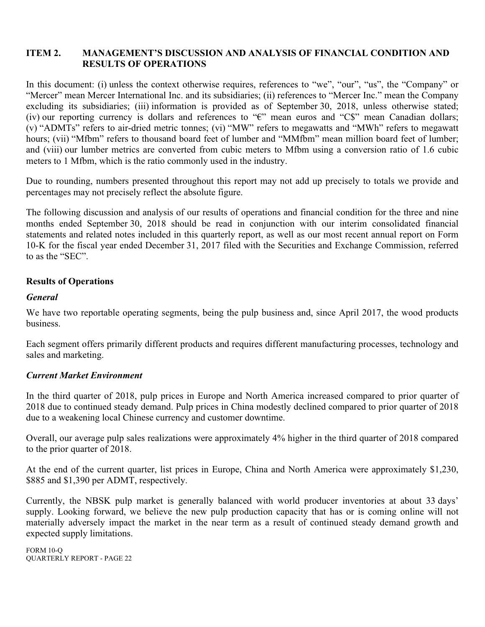# **ITEM 2. MANAGEMENT'S DISCUSSION AND ANALYSIS OF FINANCIAL CONDITION AND RESULTS OF OPERATIONS**

In this document: (i) unless the context otherwise requires, references to "we", "our", "us", the "Company" or "Mercer" mean Mercer International Inc. and its subsidiaries; (ii) references to "Mercer Inc." mean the Company excluding its subsidiaries; (iii) information is provided as of September 30, 2018, unless otherwise stated; (iv) our reporting currency is dollars and references to "€" mean euros and "C\$" mean Canadian dollars; (v) "ADMTs" refers to air-dried metric tonnes; (vi) "MW" refers to megawatts and "MWh" refers to megawatt hours; (vii) "Mfbm" refers to thousand board feet of lumber and "MMfbm" mean million board feet of lumber; and (viii) our lumber metrics are converted from cubic meters to Mfbm using a conversion ratio of 1.6 cubic meters to 1 Mfbm, which is the ratio commonly used in the industry.

Due to rounding, numbers presented throughout this report may not add up precisely to totals we provide and percentages may not precisely reflect the absolute figure.

The following discussion and analysis of our results of operations and financial condition for the three and nine months ended September 30, 2018 should be read in conjunction with our interim consolidated financial statements and related notes included in this quarterly report, as well as our most recent annual report on Form 10-K for the fiscal year ended December 31, 2017 filed with the Securities and Exchange Commission, referred to as the "SEC".

# **Results of Operations**

# *General*

We have two reportable operating segments, being the pulp business and, since April 2017, the wood products business.

Each segment offers primarily different products and requires different manufacturing processes, technology and sales and marketing.

# *Current Market Environment*

In the third quarter of 2018, pulp prices in Europe and North America increased compared to prior quarter of 2018 due to continued steady demand. Pulp prices in China modestly declined compared to prior quarter of 2018 due to a weakening local Chinese currency and customer downtime.

Overall, our average pulp sales realizations were approximately 4% higher in the third quarter of 2018 compared to the prior quarter of 2018.

At the end of the current quarter, list prices in Europe, China and North America were approximately \$1,230, \$885 and \$1,390 per ADMT, respectively.

Currently, the NBSK pulp market is generally balanced with world producer inventories at about 33 days' supply. Looking forward, we believe the new pulp production capacity that has or is coming online will not materially adversely impact the market in the near term as a result of continued steady demand growth and expected supply limitations.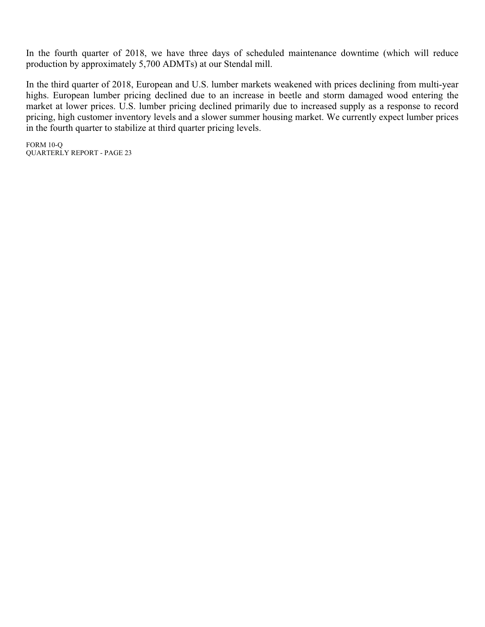In the fourth quarter of 2018, we have three days of scheduled maintenance downtime (which will reduce production by approximately 5,700 ADMTs) at our Stendal mill.

In the third quarter of 2018, European and U.S. lumber markets weakened with prices declining from multi-year highs. European lumber pricing declined due to an increase in beetle and storm damaged wood entering the market at lower prices. U.S. lumber pricing declined primarily due to increased supply as a response to record pricing, high customer inventory levels and a slower summer housing market. We currently expect lumber prices in the fourth quarter to stabilize at third quarter pricing levels.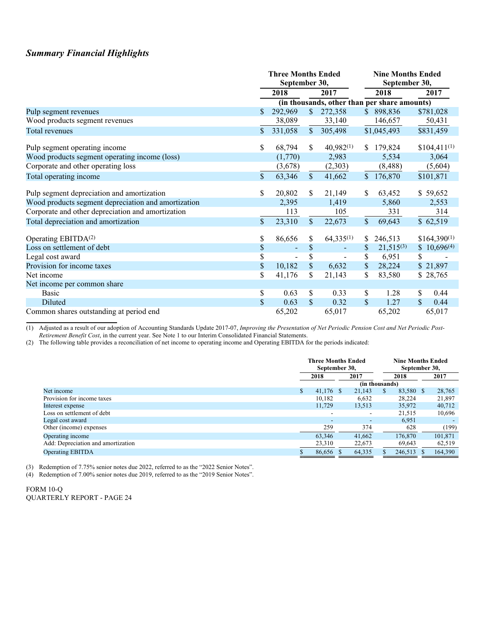# *Summary Financial Highlights*

|                                                     |              | <b>Three Months Ended</b><br>September 30, |               |                                              | <b>Nine Months Ended</b><br>September 30, |                |                      |  |  |
|-----------------------------------------------------|--------------|--------------------------------------------|---------------|----------------------------------------------|-------------------------------------------|----------------|----------------------|--|--|
|                                                     |              | 2018                                       |               | 2017                                         |                                           | 2018           | 2017                 |  |  |
|                                                     |              |                                            |               | (in thousands, other than per share amounts) |                                           |                |                      |  |  |
| Pulp segment revenues                               | \$           | 292,969                                    | $\mathcal{S}$ | 272,358                                      |                                           | \$898,836      | \$781,028            |  |  |
| Wood products segment revenues                      |              | 38,089                                     |               | 33,140                                       |                                           | 146,657        | 50,431               |  |  |
| Total revenues                                      | $\mathbb{S}$ | 331,058                                    | \$.           | 305,498                                      |                                           | \$1,045,493    | \$831,459            |  |  |
| Pulp segment operating income                       | \$           | 68,794                                     | \$.           | $40,982^{(1)}$                               | S.                                        | 179,824        | $$104,411^{(1)}$     |  |  |
| Wood products segment operating income (loss)       |              | (1,770)                                    |               | 2,983                                        |                                           | 5,534          | 3,064                |  |  |
| Corporate and other operating loss                  |              | (3,678)                                    |               | (2,303)                                      |                                           | (8, 488)       | (5,604)              |  |  |
| Total operating income                              | $\mathbf S$  | 63,346                                     | $\mathbb{S}$  | 41,662                                       | $\mathbb{S}$                              | 176,870        | \$101,871            |  |  |
| Pulp segment depreciation and amortization          | \$           | 20,802                                     | S             | 21,149                                       | S.                                        | 63,452         | \$59,652             |  |  |
| Wood products segment depreciation and amortization |              | 2,395                                      |               | 1,419                                        |                                           | 5,860          | 2,553                |  |  |
| Corporate and other depreciation and amortization   |              | 113                                        |               | 105                                          |                                           | 331            | 314                  |  |  |
| Total depreciation and amortization                 | $\mathbb{S}$ | 23,310                                     | $\mathbb{S}$  | 22,673                                       | $\mathbb{S}$                              | 69,643         | \$62,519             |  |  |
| Operating EBITDA <sup>(2)</sup>                     | \$           | 86,656                                     | \$            | $64,335^{(1)}$                               | S.                                        | 246,513        | $$164,390^{(1)}$     |  |  |
| Loss on settlement of debt                          | \$           | ä,                                         | \$            |                                              | S                                         | $21,515^{(3)}$ | $$10,696^{(4)}$      |  |  |
| Legal cost award                                    | \$           | $\qquad \qquad \blacksquare$               | \$            |                                              | S.                                        | 6,951          | \$                   |  |  |
| Provision for income taxes                          | \$           | 10,182                                     | \$            | 6,632                                        | $\mathbb{S}$                              | 28,224         | \$21,897             |  |  |
| Net income                                          | \$           | 41,176                                     | \$            | 21,143                                       | \$                                        | 83,580         | \$28,765             |  |  |
| Net income per common share                         |              |                                            |               |                                              |                                           |                |                      |  |  |
| <b>Basic</b>                                        | \$           | 0.63                                       | \$            | 0.33                                         | \$.                                       | 1.28           | 0.44<br>\$           |  |  |
| Diluted                                             | \$           | 0.63                                       | $\mathbb{S}$  | 0.32                                         | <sup>\$</sup>                             | 1.27           | $\mathbb{S}$<br>0.44 |  |  |
| Common shares outstanding at period end             |              | 65,202                                     |               | 65,017                                       |                                           | 65,202         | 65,017               |  |  |

(1) Adjusted as a result of our adoption of Accounting Standards Update 2017-07, *Improving the Presentation of Net Periodic Pension Cost and Net Periodic Post-Retirement Benefit Cost*, in the current year. See Note 1 to our Interim Consolidated Financial Statements.

(2) The following table provides a reconciliation of net income to operating income and Operating EBITDA for the periods indicated:

|                                    | <b>Three Months Ended</b><br>September 30, |  |                          |   | <b>Nine Months Ended</b><br>September 30, |  |         |
|------------------------------------|--------------------------------------------|--|--------------------------|---|-------------------------------------------|--|---------|
|                                    | 2018                                       |  | 2017                     |   | 2018                                      |  | 2017    |
|                                    |                                            |  | (in thousands)           |   |                                           |  |         |
| Net income                         | \$<br>41.176 \$                            |  | 21.143                   | S | 83,580 \$                                 |  | 28,765  |
| Provision for income taxes         | 10,182                                     |  | 6,632                    |   | 28.224                                    |  | 21,897  |
| Interest expense                   | 11,729                                     |  | 13,513                   |   | 35,972                                    |  | 40,712  |
| Loss on settlement of debt         | $\overline{\phantom{a}}$                   |  | $\overline{\phantom{a}}$ |   | 21,515                                    |  | 10,696  |
| Legal cost award                   | $\overline{\phantom{a}}$                   |  | $\overline{\phantom{a}}$ |   | 6,951                                     |  |         |
| Other (income) expenses            | 259                                        |  | 374                      |   | 628                                       |  | (199)   |
| Operating income                   | 63,346                                     |  | 41,662                   |   | 176,870                                   |  | 101,871 |
| Add: Depreciation and amortization | 23,310                                     |  | 22,673                   |   | 69,643                                    |  | 62,519  |
| <b>Operating EBITDA</b>            | 86,656 \$                                  |  | 64,335                   |   | 246,513                                   |  | 164,390 |

(3) Redemption of 7.75% senior notes due 2022, referred to as the "2022 Senior Notes".

(4) Redemption of 7.00% senior notes due 2019, referred to as the "2019 Senior Notes".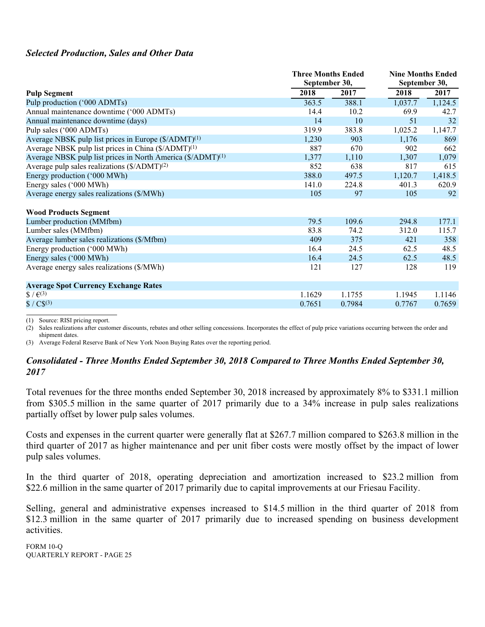# *Selected Production, Sales and Other Data*

|                                                                         |        | <b>Three Months Ended</b><br>September 30, |         | <b>Nine Months Ended</b><br>September 30, |  |
|-------------------------------------------------------------------------|--------|--------------------------------------------|---------|-------------------------------------------|--|
| <b>Pulp Segment</b>                                                     | 2018   | 2017                                       | 2018    | 2017                                      |  |
| Pulp production ('000 ADMTs)                                            | 363.5  | 388.1                                      | 1,037.7 | 1,124.5                                   |  |
| Annual maintenance downtime ('000 ADMTs)                                | 14.4   | 10.2                                       | 69.9    | 42.7                                      |  |
| Annual maintenance downtime (days)                                      | 14     | 10                                         | 51      | 32                                        |  |
| Pulp sales ('000 ADMTs)                                                 | 319.9  | 383.8                                      | 1,025.2 | 1,147.7                                   |  |
| Average NBSK pulp list prices in Europe (\$/ADMT) <sup>(1)</sup>        | 1,230  | 903                                        | 1,176   | 869                                       |  |
| Average NBSK pulp list prices in China (\$/ADMT) <sup>(1)</sup>         | 887    | 670                                        | 902     | 662                                       |  |
| Average NBSK pulp list prices in North America (\$/ADMT) <sup>(1)</sup> | 1,377  | 1,110                                      | 1,307   | 1,079                                     |  |
| Average pulp sales realizations $(\frac{C}{ADMT})^{(2)}$                | 852    | 638                                        | 817     | 615                                       |  |
| Energy production ('000 MWh)                                            | 388.0  | 497.5                                      | 1,120.7 | 1,418.5                                   |  |
| Energy sales ('000 MWh)                                                 | 141.0  | 224.8                                      | 401.3   | 620.9                                     |  |
| Average energy sales realizations (\$/MWh)                              | 105    | 97                                         | 105     | 92                                        |  |
| <b>Wood Products Segment</b>                                            |        |                                            |         |                                           |  |
| Lumber production (MMfbm)                                               | 79.5   | 109.6                                      | 294.8   | 177.1                                     |  |
| Lumber sales (MMfbm)                                                    | 83.8   | 74.2                                       | 312.0   | 115.7                                     |  |
| Average lumber sales realizations (\$/Mfbm)                             | 409    | 375                                        | 421     | 358                                       |  |
| Energy production ('000 MWh)                                            | 16.4   | 24.5                                       | 62.5    | 48.5                                      |  |
| Energy sales ('000 MWh)                                                 | 16.4   | 24.5                                       | 62.5    | 48.5                                      |  |
| Average energy sales realizations (\$/MWh)                              | 121    | 127                                        | 128     | 119                                       |  |
| <b>Average Spot Currency Exchange Rates</b>                             |        |                                            |         |                                           |  |
| $\frac{1}{2}$ / $\frac{1}{2}$ (3)                                       | 1.1629 | 1.1755                                     | 1.1945  | 1.1146                                    |  |
| $$ / C$^{(3)}$                                                          | 0.7651 | 0.7984                                     | 0.7767  | 0.7659                                    |  |

(1) Source: RISI pricing report.

(2) Sales realizations after customer discounts, rebates and other selling concessions. Incorporates the effect of pulp price variations occurring between the order and shinment dates

(3) Average Federal Reserve Bank of New York Noon Buying Rates over the reporting period.

# *Consolidated - Three Months Ended September 30, 2018 Compared to Three Months Ended September 30, 2017*

Total revenues for the three months ended September 30, 2018 increased by approximately 8% to \$331.1 million from \$305.5 million in the same quarter of 2017 primarily due to a 34% increase in pulp sales realizations partially offset by lower pulp sales volumes.

Costs and expenses in the current quarter were generally flat at \$267.7 million compared to \$263.8 million in the third quarter of 2017 as higher maintenance and per unit fiber costs were mostly offset by the impact of lower pulp sales volumes.

In the third quarter of 2018, operating depreciation and amortization increased to \$23.2 million from \$22.6 million in the same quarter of 2017 primarily due to capital improvements at our Friesau Facility.

Selling, general and administrative expenses increased to \$14.5 million in the third quarter of 2018 from \$12.3 million in the same quarter of 2017 primarily due to increased spending on business development activities.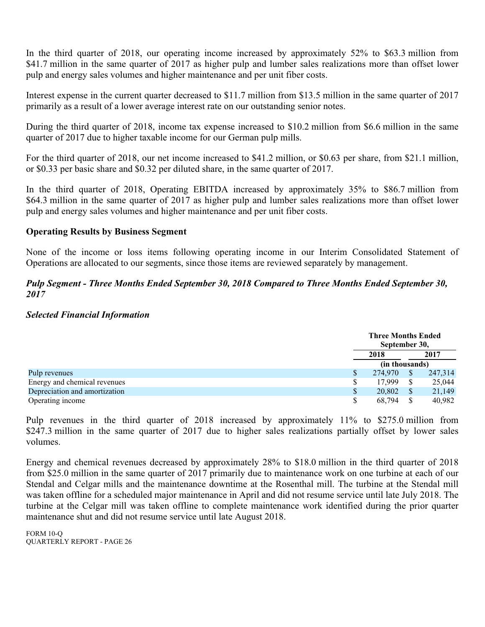In the third quarter of 2018, our operating income increased by approximately 52% to \$63.3 million from \$41.7 million in the same quarter of 2017 as higher pulp and lumber sales realizations more than offset lower pulp and energy sales volumes and higher maintenance and per unit fiber costs.

Interest expense in the current quarter decreased to \$11.7 million from \$13.5 million in the same quarter of 2017 primarily as a result of a lower average interest rate on our outstanding senior notes.

During the third quarter of 2018, income tax expense increased to \$10.2 million from \$6.6 million in the same quarter of 2017 due to higher taxable income for our German pulp mills.

For the third quarter of 2018, our net income increased to \$41.2 million, or \$0.63 per share, from \$21.1 million, or \$0.33 per basic share and \$0.32 per diluted share, in the same quarter of 2017.

In the third quarter of 2018, Operating EBITDA increased by approximately 35% to \$86.7 million from \$64.3 million in the same quarter of 2017 as higher pulp and lumber sales realizations more than offset lower pulp and energy sales volumes and higher maintenance and per unit fiber costs.

# **Operating Results by Business Segment**

None of the income or loss items following operating income in our Interim Consolidated Statement of Operations are allocated to our segments, since those items are reviewed separately by management.

# *Pulp Segment - Three Months Ended September 30, 2018 Compared to Three Months Ended September 30, 2017*

# *Selected Financial Information*

|                               | <b>Three Months Ended</b><br>September 30, |      |         |  |
|-------------------------------|--------------------------------------------|------|---------|--|
|                               | 2018                                       | 2017 |         |  |
|                               | (in thousands)                             |      |         |  |
| Pulp revenues                 | 274,970                                    |      | 247,314 |  |
| Energy and chemical revenues  | 17.999                                     |      | 25,044  |  |
| Depreciation and amortization | 20,802                                     |      | 21,149  |  |
| Operating income              | 68,794                                     |      | 40,982  |  |

Pulp revenues in the third quarter of 2018 increased by approximately 11% to \$275.0 million from \$247.3 million in the same quarter of 2017 due to higher sales realizations partially offset by lower sales volumes.

Energy and chemical revenues decreased by approximately 28% to \$18.0 million in the third quarter of 2018 from \$25.0 million in the same quarter of 2017 primarily due to maintenance work on one turbine at each of our Stendal and Celgar mills and the maintenance downtime at the Rosenthal mill. The turbine at the Stendal mill was taken offline for a scheduled major maintenance in April and did not resume service until late July 2018. The turbine at the Celgar mill was taken offline to complete maintenance work identified during the prior quarter maintenance shut and did not resume service until late August 2018.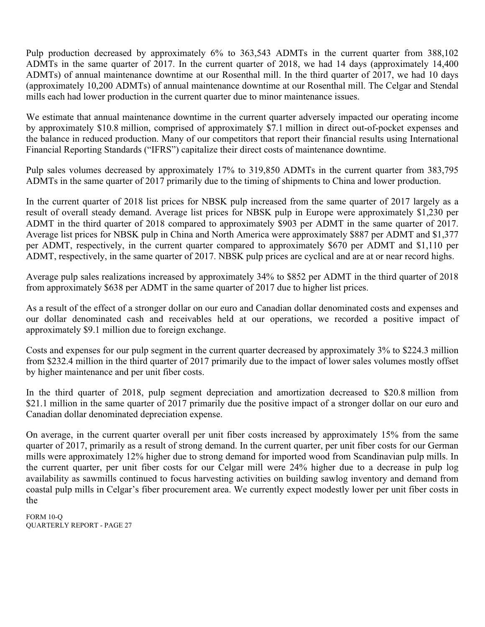Pulp production decreased by approximately 6% to 363,543 ADMTs in the current quarter from 388,102 ADMTs in the same quarter of 2017. In the current quarter of 2018, we had 14 days (approximately 14,400 ADMTs) of annual maintenance downtime at our Rosenthal mill. In the third quarter of 2017, we had 10 days (approximately 10,200 ADMTs) of annual maintenance downtime at our Rosenthal mill. The Celgar and Stendal mills each had lower production in the current quarter due to minor maintenance issues.

We estimate that annual maintenance downtime in the current quarter adversely impacted our operating income by approximately \$10.8 million, comprised of approximately \$7.1 million in direct out-of-pocket expenses and the balance in reduced production. Many of our competitors that report their financial results using International Financial Reporting Standards ("IFRS") capitalize their direct costs of maintenance downtime.

Pulp sales volumes decreased by approximately 17% to 319,850 ADMTs in the current quarter from 383,795 ADMTs in the same quarter of 2017 primarily due to the timing of shipments to China and lower production.

In the current quarter of 2018 list prices for NBSK pulp increased from the same quarter of 2017 largely as a result of overall steady demand. Average list prices for NBSK pulp in Europe were approximately \$1,230 per ADMT in the third quarter of 2018 compared to approximately \$903 per ADMT in the same quarter of 2017. Average list prices for NBSK pulp in China and North America were approximately \$887 per ADMT and \$1,377 per ADMT, respectively, in the current quarter compared to approximately \$670 per ADMT and \$1,110 per ADMT, respectively, in the same quarter of 2017. NBSK pulp prices are cyclical and are at or near record highs.

Average pulp sales realizations increased by approximately 34% to \$852 per ADMT in the third quarter of 2018 from approximately \$638 per ADMT in the same quarter of 2017 due to higher list prices.

As a result of the effect of a stronger dollar on our euro and Canadian dollar denominated costs and expenses and our dollar denominated cash and receivables held at our operations, we recorded a positive impact of approximately \$9.1 million due to foreign exchange.

Costs and expenses for our pulp segment in the current quarter decreased by approximately 3% to \$224.3 million from \$232.4 million in the third quarter of 2017 primarily due to the impact of lower sales volumes mostly offset by higher maintenance and per unit fiber costs.

In the third quarter of 2018, pulp segment depreciation and amortization decreased to \$20.8 million from \$21.1 million in the same quarter of 2017 primarily due the positive impact of a stronger dollar on our euro and Canadian dollar denominated depreciation expense.

On average, in the current quarter overall per unit fiber costs increased by approximately 15% from the same quarter of 2017, primarily as a result of strong demand. In the current quarter, per unit fiber costs for our German mills were approximately 12% higher due to strong demand for imported wood from Scandinavian pulp mills. In the current quarter, per unit fiber costs for our Celgar mill were 24% higher due to a decrease in pulp log availability as sawmills continued to focus harvesting activities on building sawlog inventory and demand from coastal pulp mills in Celgar's fiber procurement area. We currently expect modestly lower per unit fiber costs in the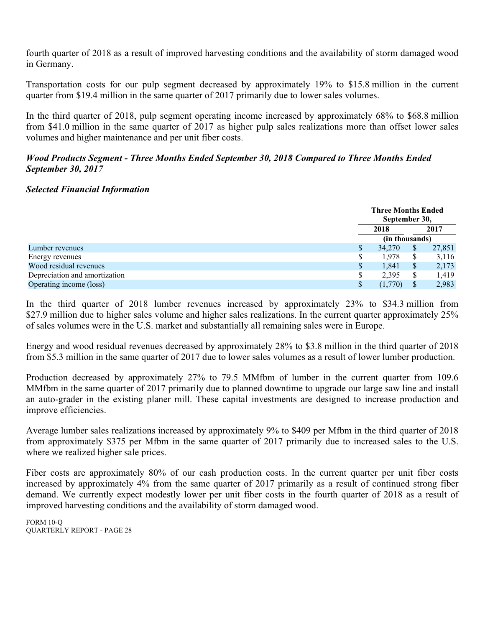fourth quarter of 2018 as a result of improved harvesting conditions and the availability of storm damaged wood in Germany.

Transportation costs for our pulp segment decreased by approximately 19% to \$15.8 million in the current quarter from \$19.4 million in the same quarter of 2017 primarily due to lower sales volumes.

In the third quarter of 2018, pulp segment operating income increased by approximately 68% to \$68.8 million from \$41.0 million in the same quarter of 2017 as higher pulp sales realizations more than offset lower sales volumes and higher maintenance and per unit fiber costs.

# *Wood Products Segment - Three Months Ended September 30, 2018 Compared to Three Months Ended September 30, 2017*

# *Selected Financial Information*

|                               |   | <b>Three Months Ended</b><br>September 30, |      |        |  |
|-------------------------------|---|--------------------------------------------|------|--------|--|
|                               |   | 2018                                       | 2017 |        |  |
|                               |   | (in thousands)                             |      |        |  |
| Lumber revenues               | S | 34,270                                     | S    | 27,851 |  |
| Energy revenues               | S | 1,978                                      | S    | 3,116  |  |
| Wood residual revenues        | S | 1,841                                      | S    | 2,173  |  |
| Depreciation and amortization |   | 2,395                                      | S.   | 1,419  |  |
| Operating income (loss)       |   | (1,770)                                    |      | 2,983  |  |

In the third quarter of 2018 lumber revenues increased by approximately 23% to \$34.3 million from \$27.9 million due to higher sales volume and higher sales realizations. In the current quarter approximately 25% of sales volumes were in the U.S. market and substantially all remaining sales were in Europe.

Energy and wood residual revenues decreased by approximately 28% to \$3.8 million in the third quarter of 2018 from \$5.3 million in the same quarter of 2017 due to lower sales volumes as a result of lower lumber production.

Production decreased by approximately 27% to 79.5 MMfbm of lumber in the current quarter from 109.6 MMfbm in the same quarter of 2017 primarily due to planned downtime to upgrade our large saw line and install an auto-grader in the existing planer mill. These capital investments are designed to increase production and improve efficiencies.

Average lumber sales realizations increased by approximately 9% to \$409 per Mfbm in the third quarter of 2018 from approximately \$375 per Mfbm in the same quarter of 2017 primarily due to increased sales to the U.S. where we realized higher sale prices.

Fiber costs are approximately 80% of our cash production costs. In the current quarter per unit fiber costs increased by approximately 4% from the same quarter of 2017 primarily as a result of continued strong fiber demand. We currently expect modestly lower per unit fiber costs in the fourth quarter of 2018 as a result of improved harvesting conditions and the availability of storm damaged wood.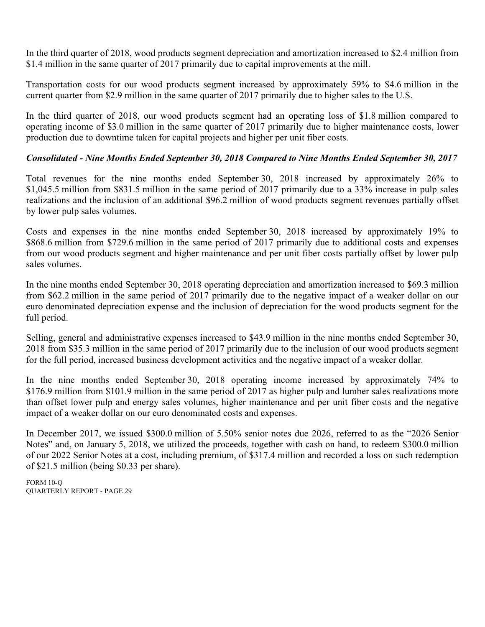In the third quarter of 2018, wood products segment depreciation and amortization increased to \$2.4 million from \$1.4 million in the same quarter of 2017 primarily due to capital improvements at the mill.

Transportation costs for our wood products segment increased by approximately 59% to \$4.6 million in the current quarter from \$2.9 million in the same quarter of 2017 primarily due to higher sales to the U.S.

In the third quarter of 2018, our wood products segment had an operating loss of \$1.8 million compared to operating income of \$3.0 million in the same quarter of 2017 primarily due to higher maintenance costs, lower production due to downtime taken for capital projects and higher per unit fiber costs.

# *Consolidated - Nine Months Ended September 30, 2018 Compared to Nine Months Ended September 30, 2017*

Total revenues for the nine months ended September 30, 2018 increased by approximately 26% to \$1,045.5 million from \$831.5 million in the same period of 2017 primarily due to a 33% increase in pulp sales realizations and the inclusion of an additional \$96.2 million of wood products segment revenues partially offset by lower pulp sales volumes.

Costs and expenses in the nine months ended September 30, 2018 increased by approximately 19% to \$868.6 million from \$729.6 million in the same period of 2017 primarily due to additional costs and expenses from our wood products segment and higher maintenance and per unit fiber costs partially offset by lower pulp sales volumes.

In the nine months ended September 30, 2018 operating depreciation and amortization increased to \$69.3 million from \$62.2 million in the same period of 2017 primarily due to the negative impact of a weaker dollar on our euro denominated depreciation expense and the inclusion of depreciation for the wood products segment for the full period.

Selling, general and administrative expenses increased to \$43.9 million in the nine months ended September 30, 2018 from \$35.3 million in the same period of 2017 primarily due to the inclusion of our wood products segment for the full period, increased business development activities and the negative impact of a weaker dollar.

In the nine months ended September 30, 2018 operating income increased by approximately 74% to \$176.9 million from \$101.9 million in the same period of 2017 as higher pulp and lumber sales realizations more than offset lower pulp and energy sales volumes, higher maintenance and per unit fiber costs and the negative impact of a weaker dollar on our euro denominated costs and expenses.

In December 2017, we issued \$300.0 million of 5.50% senior notes due 2026, referred to as the "2026 Senior Notes" and, on January 5, 2018, we utilized the proceeds, together with cash on hand, to redeem \$300.0 million of our 2022 Senior Notes at a cost, including premium, of \$317.4 million and recorded a loss on such redemption of \$21.5 million (being \$0.33 per share).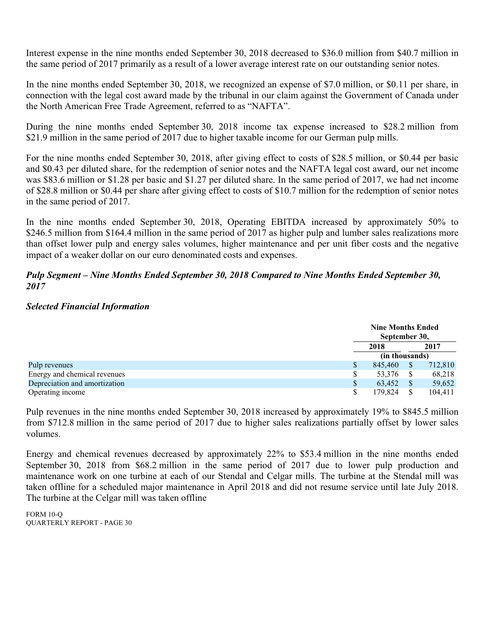Interest expense in the nine months ended September 30, 2018 decreased to \$36.0 million from \$40.7 million in the same period of 2017 primarily as a result of a lower average interest rate on our outstanding senior notes.

In the nine months ended September 30, 2018, we recognized an expense of \$7.0 million, or \$0.11 per share, in connection with the legal cost award made by the tribunal in our claim against the Government of Canada under the North American Free Trade Agreement, referred to as "NAFTA".

During the nine months ended September 30, 2018 income tax expense increased to \$28.2 million from \$21.9 million in the same period of 2017 due to higher taxable income for our German pulp mills.

For the nine months ended September 30, 2018, after giving effect to costs of \$28.5 million, or \$0.44 per basic and \$0.43 per diluted share, for the redemption of senior notes and the NAFTA legal cost award, our net income was \$83.6 million or \$1.28 per basic and \$1.27 per diluted share. In the same period of 2017, we had net income of \$28.8 million or \$0.44 per share after giving effect to costs of \$10.7 million for the redemption of senior notes in the same period of 2017.

In the nine months ended September 30, 2018, Operating EBITDA increased by approximately 50% to \$246.5 million from \$164.4 million in the same period of 2017 as higher pulp and lumber sales realizations more than offset lower pulp and energy sales volumes, higher maintenance and per unit fiber costs and the negative impact of a weaker dollar on our euro denominated costs and expenses.

# *Pulp Segment – Nine Months Ended September 30, 2018 Compared to Nine Months Ended September 30, 2017*

# *Selected Financial Information*

|                               | <b>Nine Months Ended</b><br>September 30, |      |         |  |
|-------------------------------|-------------------------------------------|------|---------|--|
|                               | 2018                                      | 2017 |         |  |
|                               | (in thousands)                            |      |         |  |
| Pulp revenues                 | 845,460                                   |      | 712,810 |  |
| Energy and chemical revenues  | 53,376                                    |      | 68,218  |  |
| Depreciation and amortization | 63.452                                    |      | 59,652  |  |
| Operating income              | 179.824                                   |      | 104.411 |  |

Pulp revenues in the nine months ended September 30, 2018 increased by approximately 19% to \$845.5 million from \$712.8 million in the same period of 2017 due to higher sales realizations partially offset by lower sales volumes.

Energy and chemical revenues decreased by approximately 22% to \$53.4 million in the nine months ended September 30, 2018 from \$68.2 million in the same period of 2017 due to lower pulp production and maintenance work on one turbine at each of our Stendal and Celgar mills. The turbine at the Stendal mill was taken offline for a scheduled major maintenance in April 2018 and did not resume service until late July 2018. The turbine at the Celgar mill was taken offline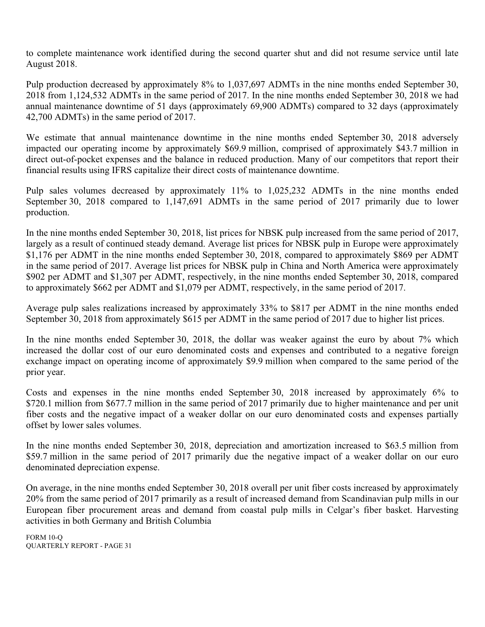to complete maintenance work identified during the second quarter shut and did not resume service until late August 2018.

Pulp production decreased by approximately 8% to 1,037,697 ADMTs in the nine months ended September 30, 2018 from 1,124,532 ADMTs in the same period of 2017. In the nine months ended September 30, 2018 we had annual maintenance downtime of 51 days (approximately 69,900 ADMTs) compared to 32 days (approximately 42,700 ADMTs) in the same period of 2017.

We estimate that annual maintenance downtime in the nine months ended September 30, 2018 adversely impacted our operating income by approximately \$69.9 million, comprised of approximately \$43.7 million in direct out-of-pocket expenses and the balance in reduced production. Many of our competitors that report their financial results using IFRS capitalize their direct costs of maintenance downtime.

Pulp sales volumes decreased by approximately 11% to 1,025,232 ADMTs in the nine months ended September 30, 2018 compared to 1,147,691 ADMTs in the same period of 2017 primarily due to lower production.

In the nine months ended September 30, 2018, list prices for NBSK pulp increased from the same period of 2017, largely as a result of continued steady demand. Average list prices for NBSK pulp in Europe were approximately \$1,176 per ADMT in the nine months ended September 30, 2018, compared to approximately \$869 per ADMT in the same period of 2017. Average list prices for NBSK pulp in China and North America were approximately \$902 per ADMT and \$1,307 per ADMT, respectively, in the nine months ended September 30, 2018, compared to approximately \$662 per ADMT and \$1,079 per ADMT, respectively, in the same period of 2017.

Average pulp sales realizations increased by approximately 33% to \$817 per ADMT in the nine months ended September 30, 2018 from approximately \$615 per ADMT in the same period of 2017 due to higher list prices.

In the nine months ended September 30, 2018, the dollar was weaker against the euro by about 7% which increased the dollar cost of our euro denominated costs and expenses and contributed to a negative foreign exchange impact on operating income of approximately \$9.9 million when compared to the same period of the prior year.

Costs and expenses in the nine months ended September 30, 2018 increased by approximately 6% to \$720.1 million from \$677.7 million in the same period of 2017 primarily due to higher maintenance and per unit fiber costs and the negative impact of a weaker dollar on our euro denominated costs and expenses partially offset by lower sales volumes.

In the nine months ended September 30, 2018, depreciation and amortization increased to \$63.5 million from \$59.7 million in the same period of 2017 primarily due the negative impact of a weaker dollar on our euro denominated depreciation expense.

On average, in the nine months ended September 30, 2018 overall per unit fiber costs increased by approximately 20% from the same period of 2017 primarily as a result of increased demand from Scandinavian pulp mills in our European fiber procurement areas and demand from coastal pulp mills in Celgar's fiber basket. Harvesting activities in both Germany and British Columbia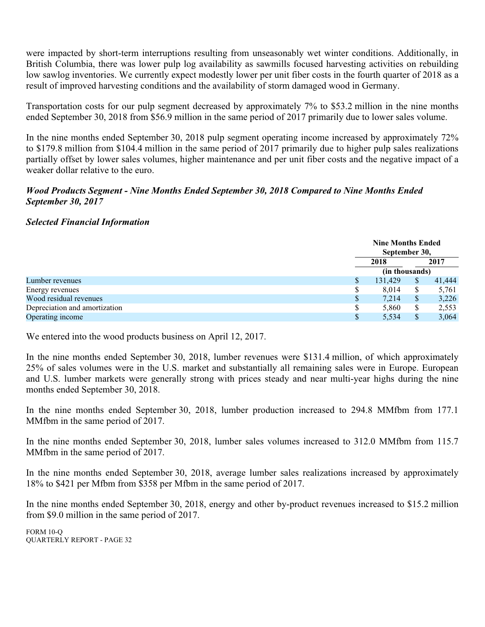were impacted by short-term interruptions resulting from unseasonably wet winter conditions. Additionally, in British Columbia, there was lower pulp log availability as sawmills focused harvesting activities on rebuilding low sawlog inventories. We currently expect modestly lower per unit fiber costs in the fourth quarter of 2018 as a result of improved harvesting conditions and the availability of storm damaged wood in Germany.

Transportation costs for our pulp segment decreased by approximately 7% to \$53.2 million in the nine months ended September 30, 2018 from \$56.9 million in the same period of 2017 primarily due to lower sales volume.

In the nine months ended September 30, 2018 pulp segment operating income increased by approximately 72% to \$179.8 million from \$104.4 million in the same period of 2017 primarily due to higher pulp sales realizations partially offset by lower sales volumes, higher maintenance and per unit fiber costs and the negative impact of a weaker dollar relative to the euro.

# *Wood Products Segment - Nine Months Ended September 30, 2018 Compared to Nine Months Ended September 30, 2017*

# *Selected Financial Information*

|                               | <b>Nine Months Ended</b><br>September 30, |               |        |  |
|-------------------------------|-------------------------------------------|---------------|--------|--|
|                               | 2018                                      |               | 2017   |  |
|                               | (in thousands)                            |               |        |  |
| Lumber revenues               | 131,429                                   | S             | 41,444 |  |
| Energy revenues               | 8.014                                     | <sup>\$</sup> | 5,761  |  |
| Wood residual revenues        | 7,214                                     | <sup>\$</sup> | 3,226  |  |
| Depreciation and amortization | 5.860                                     | <sup>\$</sup> | 2,553  |  |
| Operating income              | 5,534                                     |               | 3,064  |  |

We entered into the wood products business on April 12, 2017.

In the nine months ended September 30, 2018, lumber revenues were \$131.4 million, of which approximately 25% of sales volumes were in the U.S. market and substantially all remaining sales were in Europe. European and U.S. lumber markets were generally strong with prices steady and near multi-year highs during the nine months ended September 30, 2018.

In the nine months ended September 30, 2018, lumber production increased to 294.8 MMfbm from 177.1 MMfbm in the same period of 2017.

In the nine months ended September 30, 2018, lumber sales volumes increased to 312.0 MMfbm from 115.7 MMfbm in the same period of 2017.

In the nine months ended September 30, 2018, average lumber sales realizations increased by approximately 18% to \$421 per Mfbm from \$358 per Mfbm in the same period of 2017.

In the nine months ended September 30, 2018, energy and other by-product revenues increased to \$15.2 million from \$9.0 million in the same period of 2017.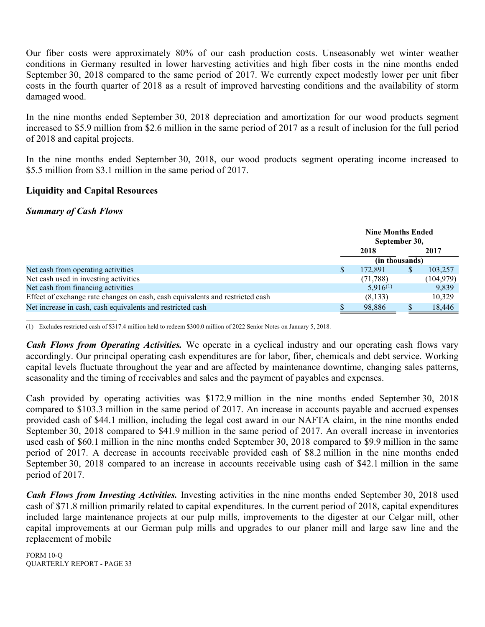Our fiber costs were approximately 80% of our cash production costs. Unseasonably wet winter weather conditions in Germany resulted in lower harvesting activities and high fiber costs in the nine months ended September 30, 2018 compared to the same period of 2017. We currently expect modestly lower per unit fiber costs in the fourth quarter of 2018 as a result of improved harvesting conditions and the availability of storm damaged wood.

In the nine months ended September 30, 2018 depreciation and amortization for our wood products segment increased to \$5.9 million from \$2.6 million in the same period of 2017 as a result of inclusion for the full period of 2018 and capital projects.

In the nine months ended September 30, 2018, our wood products segment operating income increased to \$5.5 million from \$3.1 million in the same period of 2017.

# **Liquidity and Capital Resources**

## *Summary of Cash Flows*

|                                                                               |   | <b>Nine Months Ended</b><br>September 30, |   |            |  |
|-------------------------------------------------------------------------------|---|-------------------------------------------|---|------------|--|
|                                                                               |   | 2018                                      |   | 2017       |  |
|                                                                               |   | (in thousands)                            |   |            |  |
| Net cash from operating activities                                            | S | 172,891                                   | S | 103,257    |  |
| Net cash used in investing activities                                         |   | (71, 788)                                 |   | (104, 979) |  |
| Net cash from financing activities                                            |   | $5,916^{(1)}$                             |   | 9,839      |  |
| Effect of exchange rate changes on cash, cash equivalents and restricted cash |   | (8, 133)                                  |   | 10,329     |  |
| Net increase in cash, cash equivalents and restricted cash                    |   | 98,886                                    |   | 18,446     |  |

(1) Excludes restricted cash of \$317.4 million held to redeem \$300.0 million of 2022 Senior Notes on January 5, 2018.

*Cash Flows from Operating Activities.* We operate in a cyclical industry and our operating cash flows vary accordingly. Our principal operating cash expenditures are for labor, fiber, chemicals and debt service. Working capital levels fluctuate throughout the year and are affected by maintenance downtime, changing sales patterns, seasonality and the timing of receivables and sales and the payment of payables and expenses.

Cash provided by operating activities was \$172.9 million in the nine months ended September 30, 2018 compared to \$103.3 million in the same period of 2017. An increase in accounts payable and accrued expenses provided cash of \$44.1 million, including the legal cost award in our NAFTA claim, in the nine months ended September 30, 2018 compared to \$41.9 million in the same period of 2017. An overall increase in inventories used cash of \$60.1 million in the nine months ended September 30, 2018 compared to \$9.9 million in the same period of 2017. A decrease in accounts receivable provided cash of \$8.2 million in the nine months ended September 30, 2018 compared to an increase in accounts receivable using cash of \$42.1 million in the same period of 2017.

*Cash Flows from Investing Activities.* Investing activities in the nine months ended September 30, 2018 used cash of \$71.8 million primarily related to capital expenditures. In the current period of 2018, capital expenditures included large maintenance projects at our pulp mills, improvements to the digester at our Celgar mill, other capital improvements at our German pulp mills and upgrades to our planer mill and large saw line and the replacement of mobile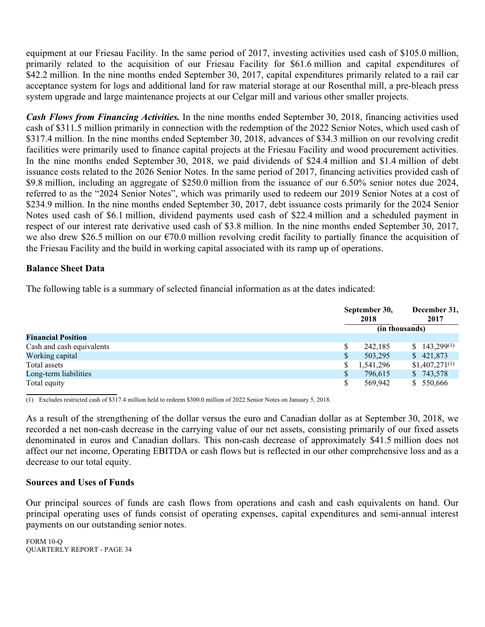equipment at our Friesau Facility. In the same period of 2017, investing activities used cash of \$105.0 million, primarily related to the acquisition of our Friesau Facility for \$61.6 million and capital expenditures of \$42.2 million. In the nine months ended September 30, 2017, capital expenditures primarily related to a rail car acceptance system for logs and additional land for raw material storage at our Rosenthal mill, a pre-bleach press system upgrade and large maintenance projects at our Celgar mill and various other smaller projects.

*Cash Flows from Financing Activities.* In the nine months ended September 30, 2018, financing activities used cash of \$311.5 million primarily in connection with the redemption of the 2022 Senior Notes, which used cash of \$317.4 million. In the nine months ended September 30, 2018, advances of \$34.3 million on our revolving credit facilities were primarily used to finance capital projects at the Friesau Facility and wood procurement activities. In the nine months ended September 30, 2018, we paid dividends of \$24.4 million and \$1.4 million of debt issuance costs related to the 2026 Senior Notes. In the same period of 2017, financing activities provided cash of \$9.8 million, including an aggregate of \$250.0 million from the issuance of our 6.50% senior notes due 2024, referred to as the "2024 Senior Notes", which was primarily used to redeem our 2019 Senior Notes at a cost of \$234.9 million. In the nine months ended September 30, 2017, debt issuance costs primarily for the 2024 Senior Notes used cash of \$6.1 million, dividend payments used cash of \$22.4 million and a scheduled payment in respect of our interest rate derivative used cash of \$3.8 million. In the nine months ended September 30, 2017, we also drew \$26.5 million on our €70.0 million revolving credit facility to partially finance the acquisition of the Friesau Facility and the build in working capital associated with its ramp up of operations.

# **Balance Sheet Data**

The following table is a summary of selected financial information as at the dates indicated:

|                           |              | September 30,<br>2018 | December 31,<br>2017 |  |
|---------------------------|--------------|-----------------------|----------------------|--|
|                           |              | (in thousands)        |                      |  |
| <b>Financial Position</b> |              |                       |                      |  |
| Cash and cash equivalents |              | 242.185               | $$143,299^{(1)}$$    |  |
| Working capital           | S            | 503,295               | \$421,873            |  |
| Total assets              | S            | 1,541,296             | $$1,407,271^{(1)}$   |  |
| Long-term liabilities     | $\mathbb{S}$ | 796.615               | \$743,578            |  |
| Total equity              | S            | 569,942               | \$ 550,666           |  |

(1) Excludes restricted cash of \$317.4 million held to redeem \$300.0 million of 2022 Senior Notes on January 5, 2018.

As a result of the strengthening of the dollar versus the euro and Canadian dollar as at September 30, 2018, we recorded a net non-cash decrease in the carrying value of our net assets, consisting primarily of our fixed assets denominated in euros and Canadian dollars. This non-cash decrease of approximately \$41.5 million does not affect our net income, Operating EBITDA or cash flows but is reflected in our other comprehensive loss and as a decrease to our total equity.

# **Sources and Uses of Funds**

Our principal sources of funds are cash flows from operations and cash and cash equivalents on hand. Our principal operating uses of funds consist of operating expenses, capital expenditures and semi-annual interest payments on our outstanding senior notes.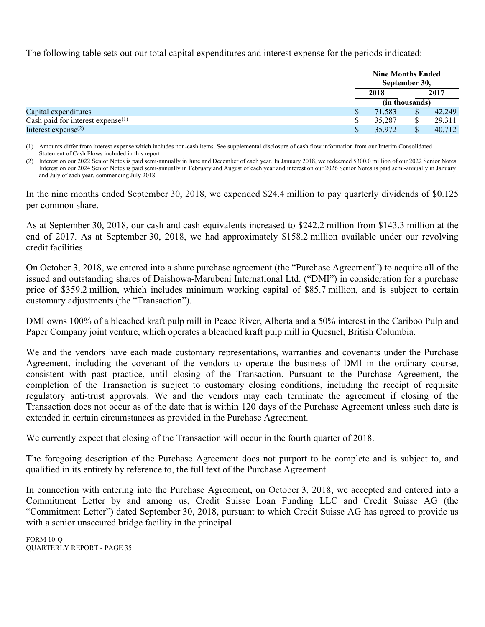The following table sets out our total capital expenditures and interest expense for the periods indicated:

|                                               | <b>Nine Months Ended</b><br>September 30, |  |        |  |
|-----------------------------------------------|-------------------------------------------|--|--------|--|
|                                               | 2018                                      |  | 2017   |  |
|                                               | (in thousands)                            |  |        |  |
| Capital expenditures                          | 71.583                                    |  | 42,249 |  |
| Cash paid for interest expense <sup>(1)</sup> | 35,287                                    |  | 29,311 |  |
| Interest expense $(2)$                        | 35,972                                    |  | 40,712 |  |

(1) Amounts differ from interest expense which includes non-cash items. See supplemental disclosure of cash flow information from our Interim Consolidated Statement of Cash Flows included in this report.

(2) Interest on our 2022 Senior Notes is paid semi-annually in June and December of each year. In January 2018, we redeemed \$300.0 million of our 2022 Senior Notes. Interest on our 2024 Senior Notes is paid semi-annually in February and August of each year and interest on our 2026 Senior Notes is paid semi-annually in January and July of each year, commencing July 2018.

In the nine months ended September 30, 2018, we expended \$24.4 million to pay quarterly dividends of \$0.125 per common share.

As at September 30, 2018, our cash and cash equivalents increased to \$242.2 million from \$143.3 million at the end of 2017. As at September 30, 2018, we had approximately \$158.2 million available under our revolving credit facilities.

On October 3, 2018, we entered into a share purchase agreement (the "Purchase Agreement") to acquire all of the issued and outstanding shares of Daishowa-Marubeni International Ltd. ("DMI") in consideration for a purchase price of \$359.2 million, which includes minimum working capital of \$85.7 million, and is subject to certain customary adjustments (the "Transaction").

DMI owns 100% of a bleached kraft pulp mill in Peace River, Alberta and a 50% interest in the Cariboo Pulp and Paper Company joint venture, which operates a bleached kraft pulp mill in Quesnel, British Columbia.

We and the vendors have each made customary representations, warranties and covenants under the Purchase Agreement, including the covenant of the vendors to operate the business of DMI in the ordinary course, consistent with past practice, until closing of the Transaction. Pursuant to the Purchase Agreement, the completion of the Transaction is subject to customary closing conditions, including the receipt of requisite regulatory anti-trust approvals. We and the vendors may each terminate the agreement if closing of the Transaction does not occur as of the date that is within 120 days of the Purchase Agreement unless such date is extended in certain circumstances as provided in the Purchase Agreement.

We currently expect that closing of the Transaction will occur in the fourth quarter of 2018.

The foregoing description of the Purchase Agreement does not purport to be complete and is subject to, and qualified in its entirety by reference to, the full text of the Purchase Agreement.

In connection with entering into the Purchase Agreement, on October 3, 2018, we accepted and entered into a Commitment Letter by and among us, Credit Suisse Loan Funding LLC and Credit Suisse AG (the "Commitment Letter") dated September 30, 2018, pursuant to which Credit Suisse AG has agreed to provide us with a senior unsecured bridge facility in the principal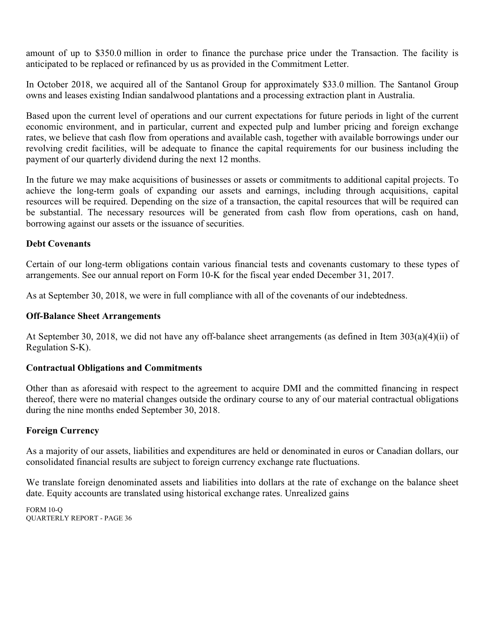amount of up to \$350.0 million in order to finance the purchase price under the Transaction. The facility is anticipated to be replaced or refinanced by us as provided in the Commitment Letter.

In October 2018, we acquired all of the Santanol Group for approximately \$33.0 million. The Santanol Group owns and leases existing Indian sandalwood plantations and a processing extraction plant in Australia.

Based upon the current level of operations and our current expectations for future periods in light of the current economic environment, and in particular, current and expected pulp and lumber pricing and foreign exchange rates, we believe that cash flow from operations and available cash, together with available borrowings under our revolving credit facilities, will be adequate to finance the capital requirements for our business including the payment of our quarterly dividend during the next 12 months.

In the future we may make acquisitions of businesses or assets or commitments to additional capital projects. To achieve the long-term goals of expanding our assets and earnings, including through acquisitions, capital resources will be required. Depending on the size of a transaction, the capital resources that will be required can be substantial. The necessary resources will be generated from cash flow from operations, cash on hand, borrowing against our assets or the issuance of securities.

# **Debt Covenants**

Certain of our long-term obligations contain various financial tests and covenants customary to these types of arrangements. See our annual report on Form 10-K for the fiscal year ended December 31, 2017.

As at September 30, 2018, we were in full compliance with all of the covenants of our indebtedness.

## **Off-Balance Sheet Arrangements**

At September 30, 2018, we did not have any off-balance sheet arrangements (as defined in Item 303(a)(4)(ii) of Regulation S-K).

## **Contractual Obligations and Commitments**

Other than as aforesaid with respect to the agreement to acquire DMI and the committed financing in respect thereof, there were no material changes outside the ordinary course to any of our material contractual obligations during the nine months ended September 30, 2018.

# **Foreign Currency**

As a majority of our assets, liabilities and expenditures are held or denominated in euros or Canadian dollars, our consolidated financial results are subject to foreign currency exchange rate fluctuations.

We translate foreign denominated assets and liabilities into dollars at the rate of exchange on the balance sheet date. Equity accounts are translated using historical exchange rates. Unrealized gains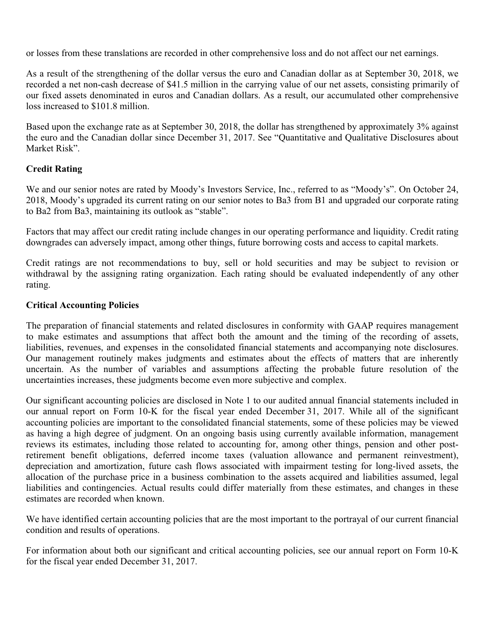or losses from these translations are recorded in other comprehensive loss and do not affect our net earnings.

As a result of the strengthening of the dollar versus the euro and Canadian dollar as at September 30, 2018, we recorded a net non-cash decrease of \$41.5 million in the carrying value of our net assets, consisting primarily of our fixed assets denominated in euros and Canadian dollars. As a result, our accumulated other comprehensive loss increased to \$101.8 million.

Based upon the exchange rate as at September 30, 2018, the dollar has strengthened by approximately 3% against the euro and the Canadian dollar since December 31, 2017. See "Quantitative and Qualitative Disclosures about Market Risk".

# **Credit Rating**

We and our senior notes are rated by Moody's Investors Service, Inc., referred to as "Moody's". On October 24, 2018, Moody's upgraded its current rating on our senior notes to Ba3 from B1 and upgraded our corporate rating to Ba2 from Ba3, maintaining its outlook as "stable".

Factors that may affect our credit rating include changes in our operating performance and liquidity. Credit rating downgrades can adversely impact, among other things, future borrowing costs and access to capital markets.

Credit ratings are not recommendations to buy, sell or hold securities and may be subject to revision or withdrawal by the assigning rating organization. Each rating should be evaluated independently of any other rating.

# **Critical Accounting Policies**

The preparation of financial statements and related disclosures in conformity with GAAP requires management to make estimates and assumptions that affect both the amount and the timing of the recording of assets, liabilities, revenues, and expenses in the consolidated financial statements and accompanying note disclosures. Our management routinely makes judgments and estimates about the effects of matters that are inherently uncertain. As the number of variables and assumptions affecting the probable future resolution of the uncertainties increases, these judgments become even more subjective and complex.

Our significant accounting policies are disclosed in Note 1 to our audited annual financial statements included in our annual report on Form 10-K for the fiscal year ended December 31, 2017. While all of the significant accounting policies are important to the consolidated financial statements, some of these policies may be viewed as having a high degree of judgment. On an ongoing basis using currently available information, management reviews its estimates, including those related to accounting for, among other things, pension and other postretirement benefit obligations, deferred income taxes (valuation allowance and permanent reinvestment), depreciation and amortization, future cash flows associated with impairment testing for long-lived assets, the allocation of the purchase price in a business combination to the assets acquired and liabilities assumed, legal liabilities and contingencies. Actual results could differ materially from these estimates, and changes in these estimates are recorded when known.

We have identified certain accounting policies that are the most important to the portrayal of our current financial condition and results of operations.

For information about both our significant and critical accounting policies, see our annual report on Form 10-K for the fiscal year ended December 31, 2017.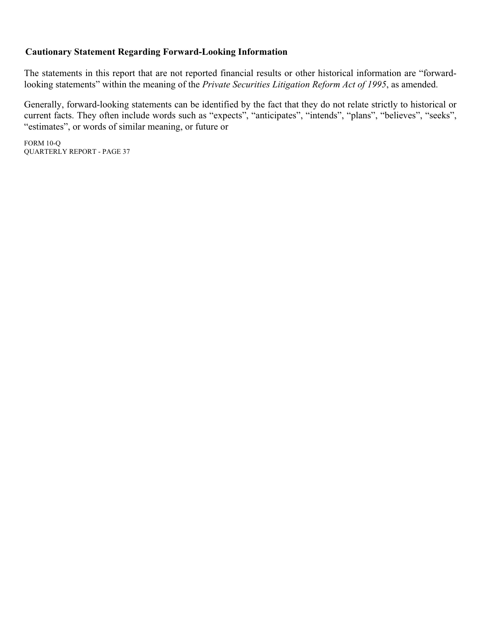# **Cautionary Statement Regarding Forward-Looking Information**

The statements in this report that are not reported financial results or other historical information are "forwardlooking statements" within the meaning of the *Private Securities Litigation Reform Act of 1995*, as amended.

Generally, forward-looking statements can be identified by the fact that they do not relate strictly to historical or current facts. They often include words such as "expects", "anticipates", "intends", "plans", "believes", "seeks", "estimates", or words of similar meaning, or future or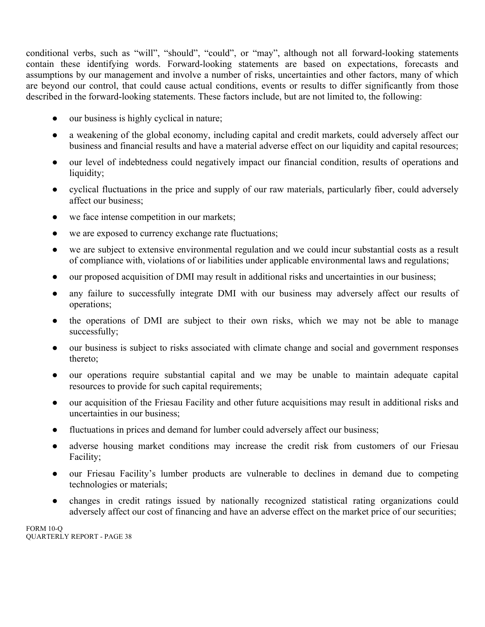conditional verbs, such as "will", "should", "could", or "may", although not all forward-looking statements contain these identifying words. Forward-looking statements are based on expectations, forecasts and assumptions by our management and involve a number of risks, uncertainties and other factors, many of which are beyond our control, that could cause actual conditions, events or results to differ significantly from those described in the forward-looking statements. These factors include, but are not limited to, the following:

- our business is highly cyclical in nature;
- a weakening of the global economy, including capital and credit markets, could adversely affect our business and financial results and have a material adverse effect on our liquidity and capital resources;
- our level of indebtedness could negatively impact our financial condition, results of operations and liquidity;
- cyclical fluctuations in the price and supply of our raw materials, particularly fiber, could adversely affect our business;
- we face intense competition in our markets;
- we are exposed to currency exchange rate fluctuations;
- we are subject to extensive environmental regulation and we could incur substantial costs as a result of compliance with, violations of or liabilities under applicable environmental laws and regulations;
- our proposed acquisition of DMI may result in additional risks and uncertainties in our business;
- any failure to successfully integrate DMI with our business may adversely affect our results of operations;
- the operations of DMI are subject to their own risks, which we may not be able to manage successfully;
- our business is subject to risks associated with climate change and social and government responses thereto;
- our operations require substantial capital and we may be unable to maintain adequate capital resources to provide for such capital requirements;
- our acquisition of the Friesau Facility and other future acquisitions may result in additional risks and uncertainties in our business;
- fluctuations in prices and demand for lumber could adversely affect our business;
- adverse housing market conditions may increase the credit risk from customers of our Friesau Facility;
- our Friesau Facility's lumber products are vulnerable to declines in demand due to competing technologies or materials;
- changes in credit ratings issued by nationally recognized statistical rating organizations could adversely affect our cost of financing and have an adverse effect on the market price of our securities;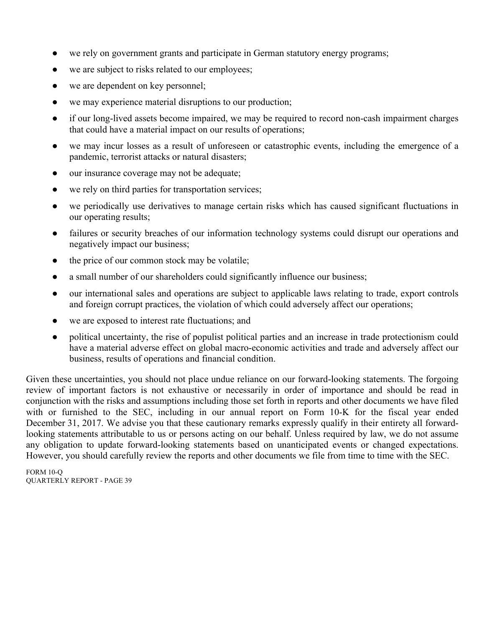- we rely on government grants and participate in German statutory energy programs;
- we are subject to risks related to our employees;
- we are dependent on key personnel;
- we may experience material disruptions to our production;
- if our long-lived assets become impaired, we may be required to record non-cash impairment charges that could have a material impact on our results of operations;
- we may incur losses as a result of unforeseen or catastrophic events, including the emergence of a pandemic, terrorist attacks or natural disasters;
- our insurance coverage may not be adequate;
- we rely on third parties for transportation services;
- we periodically use derivatives to manage certain risks which has caused significant fluctuations in our operating results;
- failures or security breaches of our information technology systems could disrupt our operations and negatively impact our business;
- the price of our common stock may be volatile;
- a small number of our shareholders could significantly influence our business;
- our international sales and operations are subject to applicable laws relating to trade, export controls and foreign corrupt practices, the violation of which could adversely affect our operations;
- we are exposed to interest rate fluctuations; and
- political uncertainty, the rise of populist political parties and an increase in trade protectionism could have a material adverse effect on global macro-economic activities and trade and adversely affect our business, results of operations and financial condition.

Given these uncertainties, you should not place undue reliance on our forward-looking statements. The forgoing review of important factors is not exhaustive or necessarily in order of importance and should be read in conjunction with the risks and assumptions including those set forth in reports and other documents we have filed with or furnished to the SEC, including in our annual report on Form 10-K for the fiscal year ended December 31, 2017. We advise you that these cautionary remarks expressly qualify in their entirety all forwardlooking statements attributable to us or persons acting on our behalf. Unless required by law, we do not assume any obligation to update forward-looking statements based on unanticipated events or changed expectations. However, you should carefully review the reports and other documents we file from time to time with the SEC.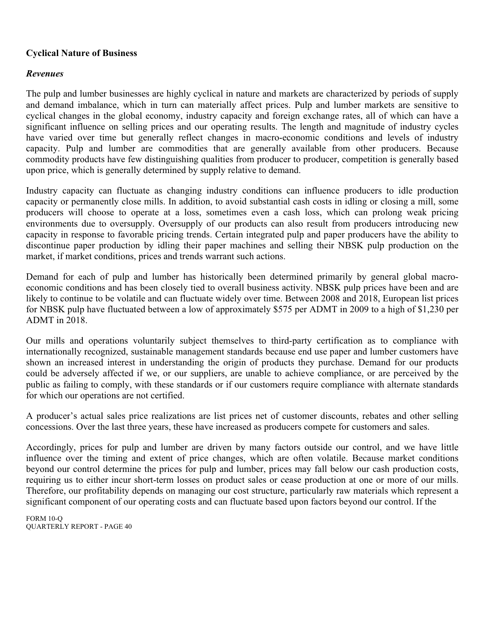# **Cyclical Nature of Business**

# *Revenues*

The pulp and lumber businesses are highly cyclical in nature and markets are characterized by periods of supply and demand imbalance, which in turn can materially affect prices. Pulp and lumber markets are sensitive to cyclical changes in the global economy, industry capacity and foreign exchange rates, all of which can have a significant influence on selling prices and our operating results. The length and magnitude of industry cycles have varied over time but generally reflect changes in macro-economic conditions and levels of industry capacity. Pulp and lumber are commodities that are generally available from other producers. Because commodity products have few distinguishing qualities from producer to producer, competition is generally based upon price, which is generally determined by supply relative to demand.

Industry capacity can fluctuate as changing industry conditions can influence producers to idle production capacity or permanently close mills. In addition, to avoid substantial cash costs in idling or closing a mill, some producers will choose to operate at a loss, sometimes even a cash loss, which can prolong weak pricing environments due to oversupply. Oversupply of our products can also result from producers introducing new capacity in response to favorable pricing trends. Certain integrated pulp and paper producers have the ability to discontinue paper production by idling their paper machines and selling their NBSK pulp production on the market, if market conditions, prices and trends warrant such actions.

Demand for each of pulp and lumber has historically been determined primarily by general global macroeconomic conditions and has been closely tied to overall business activity. NBSK pulp prices have been and are likely to continue to be volatile and can fluctuate widely over time. Between 2008 and 2018, European list prices for NBSK pulp have fluctuated between a low of approximately \$575 per ADMT in 2009 to a high of \$1,230 per ADMT in 2018.

Our mills and operations voluntarily subject themselves to third-party certification as to compliance with internationally recognized, sustainable management standards because end use paper and lumber customers have shown an increased interest in understanding the origin of products they purchase. Demand for our products could be adversely affected if we, or our suppliers, are unable to achieve compliance, or are perceived by the public as failing to comply, with these standards or if our customers require compliance with alternate standards for which our operations are not certified.

A producer's actual sales price realizations are list prices net of customer discounts, rebates and other selling concessions. Over the last three years, these have increased as producers compete for customers and sales.

Accordingly, prices for pulp and lumber are driven by many factors outside our control, and we have little influence over the timing and extent of price changes, which are often volatile. Because market conditions beyond our control determine the prices for pulp and lumber, prices may fall below our cash production costs, requiring us to either incur short-term losses on product sales or cease production at one or more of our mills. Therefore, our profitability depends on managing our cost structure, particularly raw materials which represent a significant component of our operating costs and can fluctuate based upon factors beyond our control. If the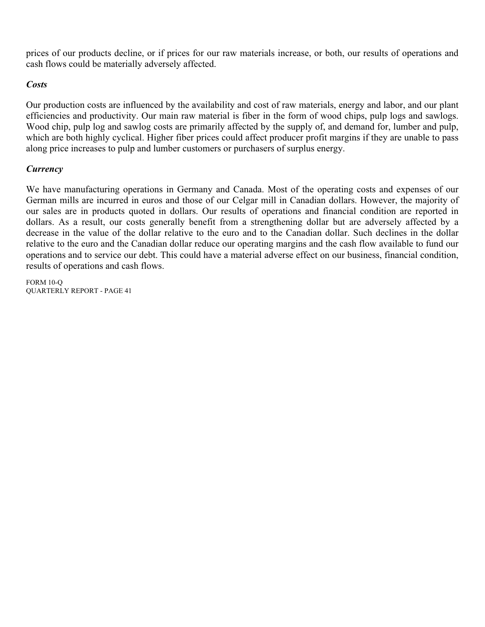prices of our products decline, or if prices for our raw materials increase, or both, our results of operations and cash flows could be materially adversely affected.

# *Costs*

Our production costs are influenced by the availability and cost of raw materials, energy and labor, and our plant efficiencies and productivity. Our main raw material is fiber in the form of wood chips, pulp logs and sawlogs. Wood chip, pulp log and sawlog costs are primarily affected by the supply of, and demand for, lumber and pulp, which are both highly cyclical. Higher fiber prices could affect producer profit margins if they are unable to pass along price increases to pulp and lumber customers or purchasers of surplus energy.

# *Currency*

We have manufacturing operations in Germany and Canada. Most of the operating costs and expenses of our German mills are incurred in euros and those of our Celgar mill in Canadian dollars. However, the majority of our sales are in products quoted in dollars. Our results of operations and financial condition are reported in dollars. As a result, our costs generally benefit from a strengthening dollar but are adversely affected by a decrease in the value of the dollar relative to the euro and to the Canadian dollar. Such declines in the dollar relative to the euro and the Canadian dollar reduce our operating margins and the cash flow available to fund our operations and to service our debt. This could have a material adverse effect on our business, financial condition, results of operations and cash flows.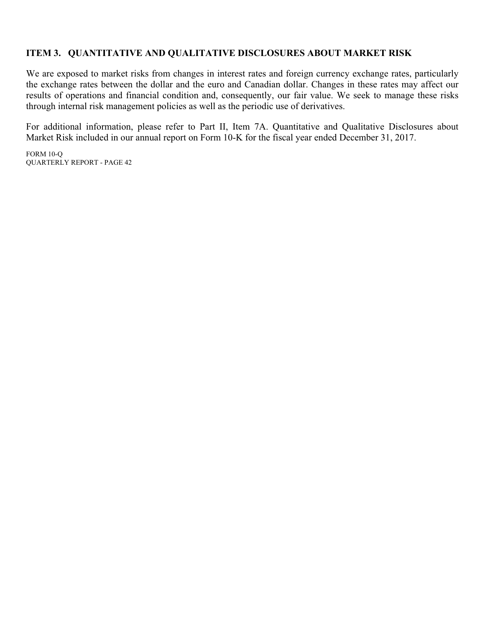# **ITEM 3. QUANTITATIVE AND QUALITATIVE DISCLOSURES ABOUT MARKET RISK**

We are exposed to market risks from changes in interest rates and foreign currency exchange rates, particularly the exchange rates between the dollar and the euro and Canadian dollar. Changes in these rates may affect our results of operations and financial condition and, consequently, our fair value. We seek to manage these risks through internal risk management policies as well as the periodic use of derivatives.

For additional information, please refer to Part II, Item 7A. Quantitative and Qualitative Disclosures about Market Risk included in our annual report on Form 10-K for the fiscal year ended December 31, 2017.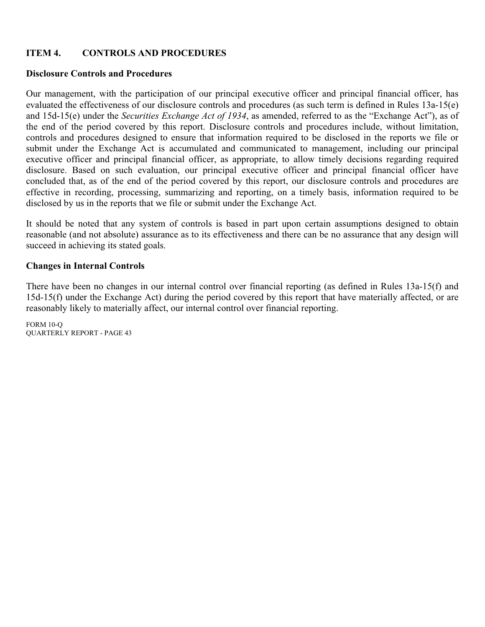# **ITEM 4. CONTROLS AND PROCEDURES**

# **Disclosure Controls and Procedures**

Our management, with the participation of our principal executive officer and principal financial officer, has evaluated the effectiveness of our disclosure controls and procedures (as such term is defined in Rules 13a-15(e) and 15d-15(e) under the *Securities Exchange Act of 1934*, as amended, referred to as the "Exchange Act"), as of the end of the period covered by this report. Disclosure controls and procedures include, without limitation, controls and procedures designed to ensure that information required to be disclosed in the reports we file or submit under the Exchange Act is accumulated and communicated to management, including our principal executive officer and principal financial officer, as appropriate, to allow timely decisions regarding required disclosure. Based on such evaluation, our principal executive officer and principal financial officer have concluded that, as of the end of the period covered by this report, our disclosure controls and procedures are effective in recording, processing, summarizing and reporting, on a timely basis, information required to be disclosed by us in the reports that we file or submit under the Exchange Act.

It should be noted that any system of controls is based in part upon certain assumptions designed to obtain reasonable (and not absolute) assurance as to its effectiveness and there can be no assurance that any design will succeed in achieving its stated goals.

# **Changes in Internal Controls**

There have been no changes in our internal control over financial reporting (as defined in Rules 13a-15(f) and 15d-15(f) under the Exchange Act) during the period covered by this report that have materially affected, or are reasonably likely to materially affect, our internal control over financial reporting.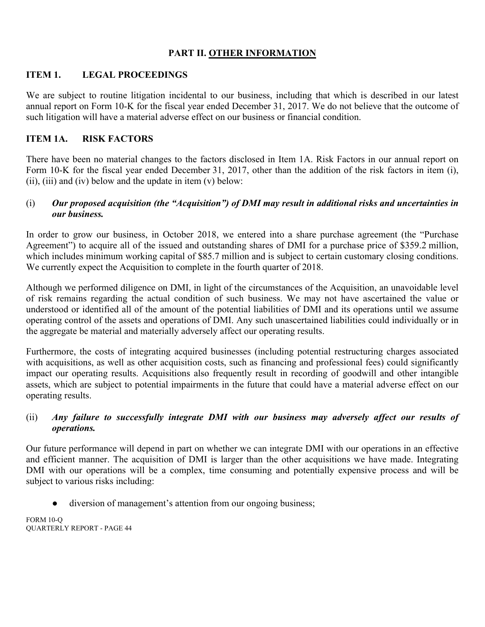# **PART II. OTHER INFORMATION**

# **ITEM 1. LEGAL PROCEEDINGS**

We are subject to routine litigation incidental to our business, including that which is described in our latest annual report on Form 10-K for the fiscal year ended December 31, 2017. We do not believe that the outcome of such litigation will have a material adverse effect on our business or financial condition.

# **ITEM 1A. RISK FACTORS**

There have been no material changes to the factors disclosed in Item 1A. Risk Factors in our annual report on Form 10-K for the fiscal year ended December 31, 2017, other than the addition of the risk factors in item (i), (ii), (iii) and (iv) below and the update in item  $(v)$  below:

# (i) *Our proposed acquisition (the "Acquisition") of DMI may result in additional risks and uncertainties in our business.*

In order to grow our business, in October 2018, we entered into a share purchase agreement (the "Purchase Agreement") to acquire all of the issued and outstanding shares of DMI for a purchase price of \$359.2 million, which includes minimum working capital of \$85.7 million and is subject to certain customary closing conditions. We currently expect the Acquisition to complete in the fourth quarter of 2018.

Although we performed diligence on DMI, in light of the circumstances of the Acquisition, an unavoidable level of risk remains regarding the actual condition of such business. We may not have ascertained the value or understood or identified all of the amount of the potential liabilities of DMI and its operations until we assume operating control of the assets and operations of DMI. Any such unascertained liabilities could individually or in the aggregate be material and materially adversely affect our operating results.

Furthermore, the costs of integrating acquired businesses (including potential restructuring charges associated with acquisitions, as well as other acquisition costs, such as financing and professional fees) could significantly impact our operating results. Acquisitions also frequently result in recording of goodwill and other intangible assets, which are subject to potential impairments in the future that could have a material adverse effect on our operating results.

# (ii) *Any failure to successfully integrate DMI with our business may adversely affect our results of operations.*

Our future performance will depend in part on whether we can integrate DMI with our operations in an effective and efficient manner. The acquisition of DMI is larger than the other acquisitions we have made. Integrating DMI with our operations will be a complex, time consuming and potentially expensive process and will be subject to various risks including:

diversion of management's attention from our ongoing business;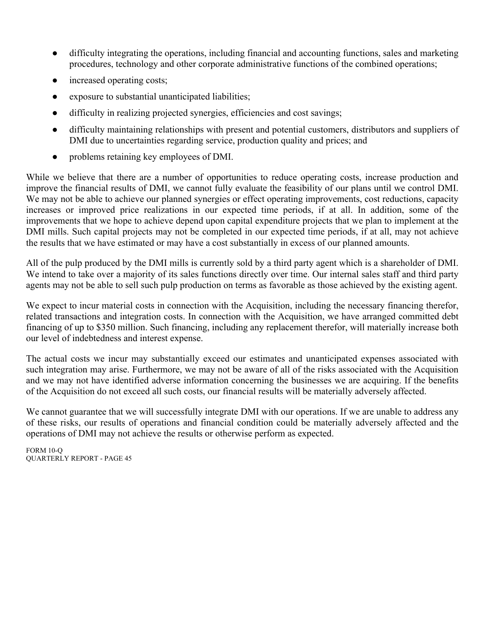- difficulty integrating the operations, including financial and accounting functions, sales and marketing procedures, technology and other corporate administrative functions of the combined operations;
- increased operating costs;
- exposure to substantial unanticipated liabilities;
- difficulty in realizing projected synergies, efficiencies and cost savings;
- difficulty maintaining relationships with present and potential customers, distributors and suppliers of DMI due to uncertainties regarding service, production quality and prices; and
- problems retaining key employees of DMI.

While we believe that there are a number of opportunities to reduce operating costs, increase production and improve the financial results of DMI, we cannot fully evaluate the feasibility of our plans until we control DMI. We may not be able to achieve our planned synergies or effect operating improvements, cost reductions, capacity increases or improved price realizations in our expected time periods, if at all. In addition, some of the improvements that we hope to achieve depend upon capital expenditure projects that we plan to implement at the DMI mills. Such capital projects may not be completed in our expected time periods, if at all, may not achieve the results that we have estimated or may have a cost substantially in excess of our planned amounts.

All of the pulp produced by the DMI mills is currently sold by a third party agent which is a shareholder of DMI. We intend to take over a majority of its sales functions directly over time. Our internal sales staff and third party agents may not be able to sell such pulp production on terms as favorable as those achieved by the existing agent.

We expect to incur material costs in connection with the Acquisition, including the necessary financing therefor, related transactions and integration costs. In connection with the Acquisition, we have arranged committed debt financing of up to \$350 million. Such financing, including any replacement therefor, will materially increase both our level of indebtedness and interest expense.

The actual costs we incur may substantially exceed our estimates and unanticipated expenses associated with such integration may arise. Furthermore, we may not be aware of all of the risks associated with the Acquisition and we may not have identified adverse information concerning the businesses we are acquiring. If the benefits of the Acquisition do not exceed all such costs, our financial results will be materially adversely affected.

We cannot guarantee that we will successfully integrate DMI with our operations. If we are unable to address any of these risks, our results of operations and financial condition could be materially adversely affected and the operations of DMI may not achieve the results or otherwise perform as expected.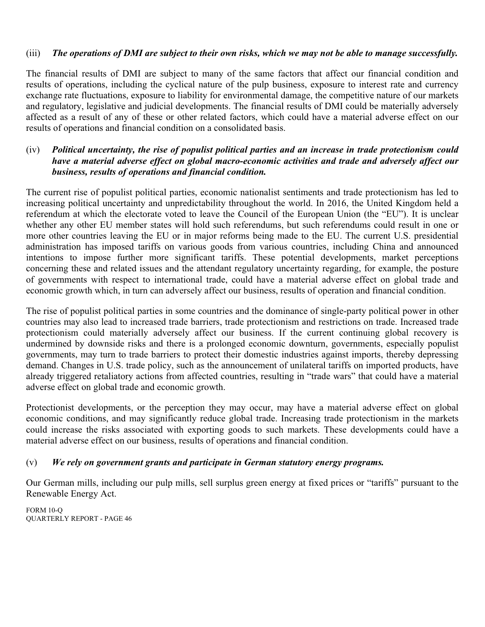# (iii) *The operations of DMI are subject to their own risks, which we may not be able to manage successfully.*

The financial results of DMI are subject to many of the same factors that affect our financial condition and results of operations, including the cyclical nature of the pulp business, exposure to interest rate and currency exchange rate fluctuations, exposure to liability for environmental damage, the competitive nature of our markets and regulatory, legislative and judicial developments. The financial results of DMI could be materially adversely affected as a result of any of these or other related factors, which could have a material adverse effect on our results of operations and financial condition on a consolidated basis.

# (iv) *Political uncertainty, the rise of populist political parties and an increase in trade protectionism could have a material adverse effect on global macro-economic activities and trade and adversely affect our business, results of operations and financial condition.*

The current rise of populist political parties, economic nationalist sentiments and trade protectionism has led to increasing political uncertainty and unpredictability throughout the world. In 2016, the United Kingdom held a referendum at which the electorate voted to leave the Council of the European Union (the "EU"). It is unclear whether any other EU member states will hold such referendums, but such referendums could result in one or more other countries leaving the EU or in major reforms being made to the EU. The current U.S. presidential administration has imposed tariffs on various goods from various countries, including China and announced intentions to impose further more significant tariffs. These potential developments, market perceptions concerning these and related issues and the attendant regulatory uncertainty regarding, for example, the posture of governments with respect to international trade, could have a material adverse effect on global trade and economic growth which, in turn can adversely affect our business, results of operation and financial condition.

The rise of populist political parties in some countries and the dominance of single-party political power in other countries may also lead to increased trade barriers, trade protectionism and restrictions on trade. Increased trade protectionism could materially adversely affect our business. If the current continuing global recovery is undermined by downside risks and there is a prolonged economic downturn, governments, especially populist governments, may turn to trade barriers to protect their domestic industries against imports, thereby depressing demand. Changes in U.S. trade policy, such as the announcement of unilateral tariffs on imported products, have already triggered retaliatory actions from affected countries, resulting in "trade wars" that could have a material adverse effect on global trade and economic growth.

Protectionist developments, or the perception they may occur, may have a material adverse effect on global economic conditions, and may significantly reduce global trade. Increasing trade protectionism in the markets could increase the risks associated with exporting goods to such markets. These developments could have a material adverse effect on our business, results of operations and financial condition.

# (v) *We rely on government grants and participate in German statutory energy programs.*

Our German mills, including our pulp mills, sell surplus green energy at fixed prices or "tariffs" pursuant to the Renewable Energy Act.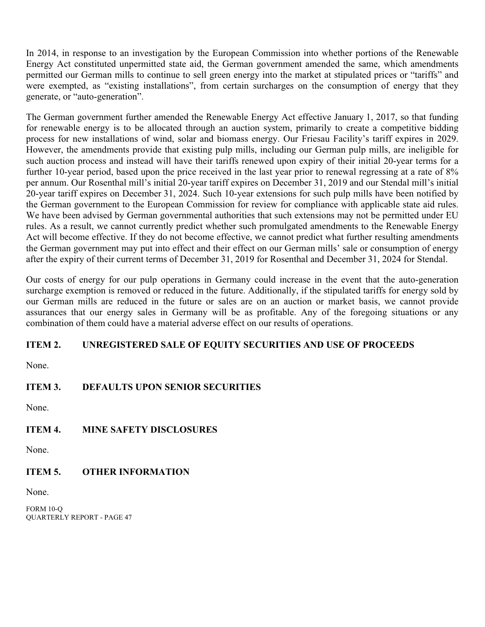In 2014, in response to an investigation by the European Commission into whether portions of the Renewable Energy Act constituted unpermitted state aid, the German government amended the same, which amendments permitted our German mills to continue to sell green energy into the market at stipulated prices or "tariffs" and were exempted, as "existing installations", from certain surcharges on the consumption of energy that they generate, or "auto-generation".

The German government further amended the Renewable Energy Act effective January 1, 2017, so that funding for renewable energy is to be allocated through an auction system, primarily to create a competitive bidding process for new installations of wind, solar and biomass energy. Our Friesau Facility's tariff expires in 2029. However, the amendments provide that existing pulp mills, including our German pulp mills, are ineligible for such auction process and instead will have their tariffs renewed upon expiry of their initial 20-year terms for a further 10-year period, based upon the price received in the last year prior to renewal regressing at a rate of  $8\%$ per annum. Our Rosenthal mill's initial 20-year tariff expires on December 31, 2019 and our Stendal mill's initial 20-year tariff expires on December 31, 2024. Such 10-year extensions for such pulp mills have been notified by the German government to the European Commission for review for compliance with applicable state aid rules. We have been advised by German governmental authorities that such extensions may not be permitted under EU rules. As a result, we cannot currently predict whether such promulgated amendments to the Renewable Energy Act will become effective. If they do not become effective, we cannot predict what further resulting amendments the German government may put into effect and their effect on our German mills' sale or consumption of energy after the expiry of their current terms of December 31, 2019 for Rosenthal and December 31, 2024 for Stendal.

Our costs of energy for our pulp operations in Germany could increase in the event that the auto-generation surcharge exemption is removed or reduced in the future. Additionally, if the stipulated tariffs for energy sold by our German mills are reduced in the future or sales are on an auction or market basis, we cannot provide assurances that our energy sales in Germany will be as profitable. Any of the foregoing situations or any combination of them could have a material adverse effect on our results of operations.

# **ITEM 2. UNREGISTERED SALE OF EQUITY SECURITIES AND USE OF PROCEEDS**

None.

# **ITEM 3. DEFAULTS UPON SENIOR SECURITIES**

None.

# **ITEM 4. MINE SAFETY DISCLOSURES**

None.

# **ITEM 5. OTHER INFORMATION**

None.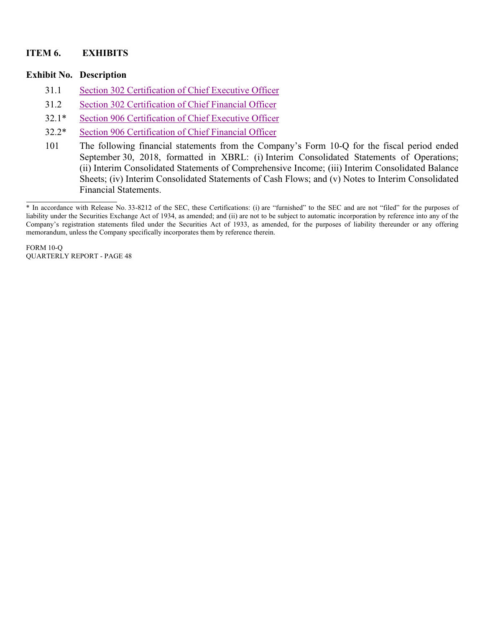# **ITEM 6. EXHIBITS**

## **Exhibit No. Description**

- 31.1 Section 302 Certification of Chief Executive Officer
- 31.2 Section 302 Certification of Chief Financial Officer
- 32.1\* Section 906 Certification of Chief Executive Officer
- 32.2\* Section 906 Certification of Chief Financial Officer
- 101 The following financial statements from the Company's Form 10-Q for the fiscal period ended September 30, 2018, formatted in XBRL: (i) Interim Consolidated Statements of Operations; (ii) Interim Consolidated Statements of Comprehensive Income; (iii) Interim Consolidated Balance Sheets; (iv) Interim Consolidated Statements of Cash Flows; and (v) Notes to Interim Consolidated Financial Statements.

<sup>\*</sup> In accordance with Release No. 33-8212 of the SEC, these Certifications: (i) are "furnished" to the SEC and are not "filed" for the purposes of liability under the Securities Exchange Act of 1934, as amended; and (ii) are not to be subject to automatic incorporation by reference into any of the Company's registration statements filed under the Securities Act of 1933, as amended, for the purposes of liability thereunder or any offering memorandum, unless the Company specifically incorporates them by reference therein.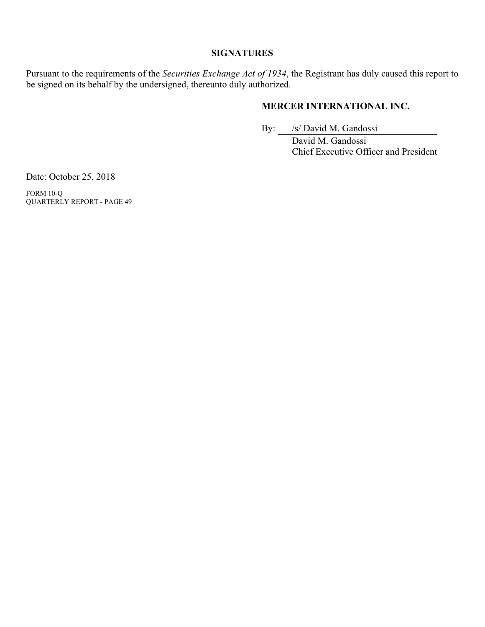# **SIGNATURES**

Pursuant to the requirements of the *Securities Exchange Act of 1934*, the Registrant has duly caused this report to be signed on its behalf by the undersigned, thereunto duly authorized.

# **MERCER INTERNATIONAL INC.**

By: /s/ David M. Gandossi

 David M. Gandossi Chief Executive Officer and President

Date: October 25, 2018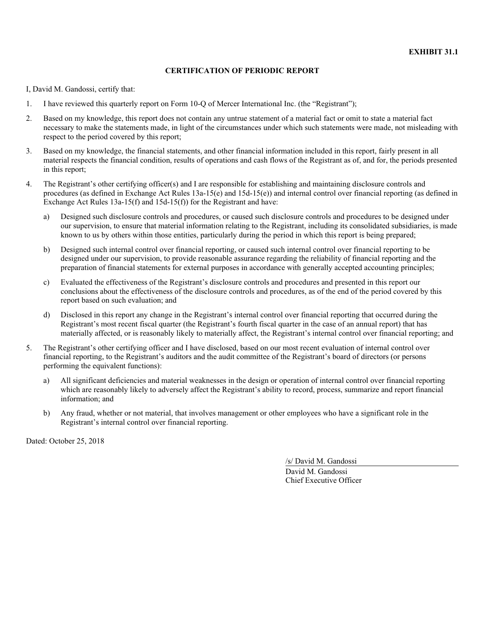I, David M. Gandossi, certify that:

- 1. I have reviewed this quarterly report on Form 10-Q of Mercer International Inc. (the "Registrant");
- 2. Based on my knowledge, this report does not contain any untrue statement of a material fact or omit to state a material fact necessary to make the statements made, in light of the circumstances under which such statements were made, not misleading with respect to the period covered by this report;
- 3. Based on my knowledge, the financial statements, and other financial information included in this report, fairly present in all material respects the financial condition, results of operations and cash flows of the Registrant as of, and for, the periods presented in this report;
- 4. The Registrant's other certifying officer(s) and I are responsible for establishing and maintaining disclosure controls and procedures (as defined in Exchange Act Rules 13a-15(e) and 15d-15(e)) and internal control over financial reporting (as defined in Exchange Act Rules 13a-15(f) and 15d-15(f)) for the Registrant and have:
	- a) Designed such disclosure controls and procedures, or caused such disclosure controls and procedures to be designed under our supervision, to ensure that material information relating to the Registrant, including its consolidated subsidiaries, is made known to us by others within those entities, particularly during the period in which this report is being prepared;
	- b) Designed such internal control over financial reporting, or caused such internal control over financial reporting to be designed under our supervision, to provide reasonable assurance regarding the reliability of financial reporting and the preparation of financial statements for external purposes in accordance with generally accepted accounting principles;
	- c) Evaluated the effectiveness of the Registrant's disclosure controls and procedures and presented in this report our conclusions about the effectiveness of the disclosure controls and procedures, as of the end of the period covered by this report based on such evaluation; and
	- d) Disclosed in this report any change in the Registrant's internal control over financial reporting that occurred during the Registrant's most recent fiscal quarter (the Registrant's fourth fiscal quarter in the case of an annual report) that has materially affected, or is reasonably likely to materially affect, the Registrant's internal control over financial reporting; and
- 5. The Registrant's other certifying officer and I have disclosed, based on our most recent evaluation of internal control over financial reporting, to the Registrant's auditors and the audit committee of the Registrant's board of directors (or persons performing the equivalent functions):
	- a) All significant deficiencies and material weaknesses in the design or operation of internal control over financial reporting which are reasonably likely to adversely affect the Registrant's ability to record, process, summarize and report financial information; and
	- b) Any fraud, whether or not material, that involves management or other employees who have a significant role in the Registrant's internal control over financial reporting.

Dated: October 25, 2018

/s/ David M. Gandossi David M. Gandossi Chief Executive Officer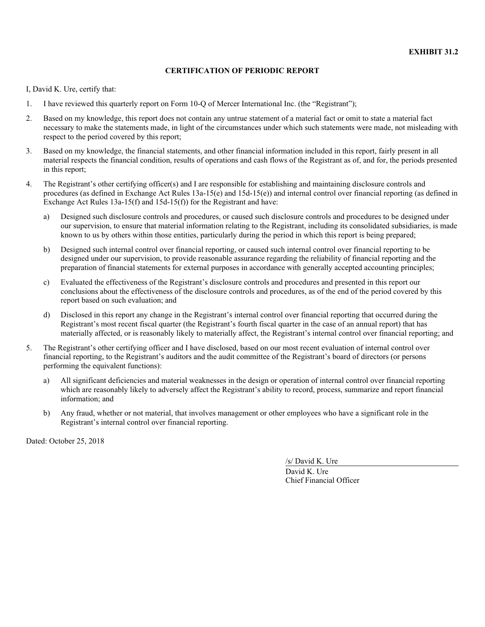I, David K. Ure, certify that:

- 1. I have reviewed this quarterly report on Form 10-Q of Mercer International Inc. (the "Registrant");
- 2. Based on my knowledge, this report does not contain any untrue statement of a material fact or omit to state a material fact necessary to make the statements made, in light of the circumstances under which such statements were made, not misleading with respect to the period covered by this report;
- 3. Based on my knowledge, the financial statements, and other financial information included in this report, fairly present in all material respects the financial condition, results of operations and cash flows of the Registrant as of, and for, the periods presented in this report;
- 4. The Registrant's other certifying officer(s) and I are responsible for establishing and maintaining disclosure controls and procedures (as defined in Exchange Act Rules 13a-15(e) and 15d-15(e)) and internal control over financial reporting (as defined in Exchange Act Rules 13a-15(f) and 15d-15(f)) for the Registrant and have:
	- a) Designed such disclosure controls and procedures, or caused such disclosure controls and procedures to be designed under our supervision, to ensure that material information relating to the Registrant, including its consolidated subsidiaries, is made known to us by others within those entities, particularly during the period in which this report is being prepared;
	- b) Designed such internal control over financial reporting, or caused such internal control over financial reporting to be designed under our supervision, to provide reasonable assurance regarding the reliability of financial reporting and the preparation of financial statements for external purposes in accordance with generally accepted accounting principles;
	- c) Evaluated the effectiveness of the Registrant's disclosure controls and procedures and presented in this report our conclusions about the effectiveness of the disclosure controls and procedures, as of the end of the period covered by this report based on such evaluation; and
	- d) Disclosed in this report any change in the Registrant's internal control over financial reporting that occurred during the Registrant's most recent fiscal quarter (the Registrant's fourth fiscal quarter in the case of an annual report) that has materially affected, or is reasonably likely to materially affect, the Registrant's internal control over financial reporting; and
- 5. The Registrant's other certifying officer and I have disclosed, based on our most recent evaluation of internal control over financial reporting, to the Registrant's auditors and the audit committee of the Registrant's board of directors (or persons performing the equivalent functions):
	- a) All significant deficiencies and material weaknesses in the design or operation of internal control over financial reporting which are reasonably likely to adversely affect the Registrant's ability to record, process, summarize and report financial information; and
	- b) Any fraud, whether or not material, that involves management or other employees who have a significant role in the Registrant's internal control over financial reporting.

Dated: October 25, 2018

/s/ David K. Ure

David K. Ure Chief Financial Officer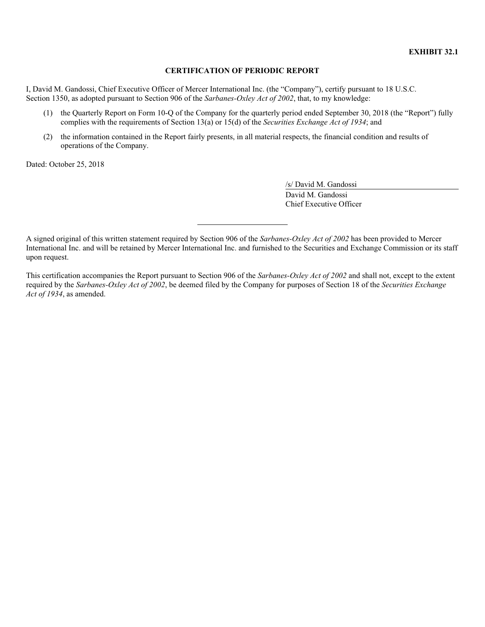I, David M. Gandossi, Chief Executive Officer of Mercer International Inc. (the "Company"), certify pursuant to 18 U.S.C. Section 1350, as adopted pursuant to Section 906 of the *Sarbanes-Oxley Act of 2002*, that, to my knowledge:

- (1) the Quarterly Report on Form 10-Q of the Company for the quarterly period ended September 30, 2018 (the "Report") fully complies with the requirements of Section 13(a) or 15(d) of the *Securities Exchange Act of 1934*; and
- (2) the information contained in the Report fairly presents, in all material respects, the financial condition and results of operations of the Company.

Dated: October 25, 2018

/s/ David M. Gandossi David M. Gandossi Chief Executive Officer

A signed original of this written statement required by Section 906 of the *Sarbanes-Oxley Act of 2002* has been provided to Mercer International Inc. and will be retained by Mercer International Inc. and furnished to the Securities and Exchange Commission or its staff upon request.

This certification accompanies the Report pursuant to Section 906 of the *Sarbanes-Oxley Act of 2002* and shall not, except to the extent required by the *Sarbanes-Oxley Act of 2002*, be deemed filed by the Company for purposes of Section 18 of the *Securities Exchange Act of 1934*, as amended.